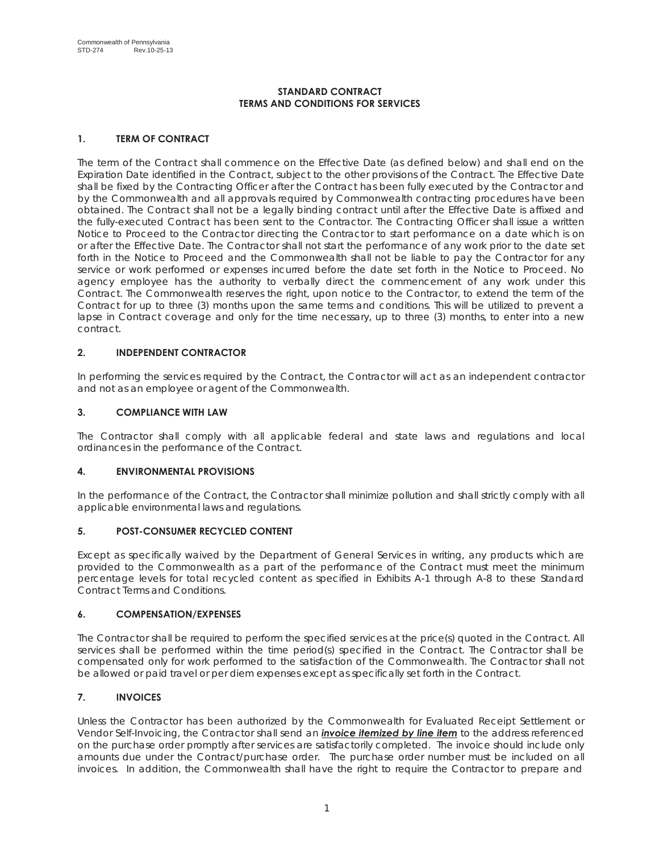# **STANDARD CONTRACT TERMS AND CONDITIONS FOR SERVICES**

# **1. TERM OF CONTRACT**

The term of the Contract shall commence on the Effective Date (as defined below) and shall end on the Expiration Date identified in the Contract, subject to the other provisions of the Contract. The Effective Date shall be fixed by the Contracting Officer after the Contract has been fully executed by the Contractor and by the Commonwealth and all approvals required by Commonwealth contracting procedures have been obtained. The Contract shall not be a legally binding contract until after the Effective Date is affixed and the fully-executed Contract has been sent to the Contractor. The Contracting Officer shall issue a written Notice to Proceed to the Contractor directing the Contractor to start performance on a date which is on or after the Effective Date. The Contractor shall not start the performance of any work prior to the date set forth in the Notice to Proceed and the Commonwealth shall not be liable to pay the Contractor for any service or work performed or expenses incurred before the date set forth in the Notice to Proceed. No agency employee has the authority to verbally direct the commencement of any work under this Contract. The Commonwealth reserves the right, upon notice to the Contractor, to extend the term of the Contract for up to three (3) months upon the same terms and conditions. This will be utilized to prevent a lapse in Contract coverage and only for the time necessary, up to three (3) months, to enter into a new contract.

# **2. INDEPENDENT CONTRACTOR**

In performing the services required by the Contract, the Contractor will act as an independent contractor and not as an employee or agent of the Commonwealth.

# **3. COMPLIANCE WITH LAW**

The Contractor shall comply with all applicable federal and state laws and regulations and local ordinances in the performance of the Contract.

# **4. ENVIRONMENTAL PROVISIONS**

In the performance of the Contract, the Contractor shall minimize pollution and shall strictly comply with all applicable environmental laws and regulations.

# **5. POST-CONSUMER RECYCLED CONTENT**

Except as specifically waived by the Department of General Services in writing, any products which are provided to the Commonwealth as a part of the performance of the Contract must meet the minimum percentage levels for total recycled content as specified in Exhibits A-1 through A-8 to these Standard Contract Terms and Conditions.

## **6. COMPENSATION/EXPENSES**

The Contractor shall be required to perform the specified services at the price(s) quoted in the Contract. All services shall be performed within the time period(s) specified in the Contract. The Contractor shall be compensated only for work performed to the satisfaction of the Commonwealth. The Contractor shall not be allowed or paid travel or per diem expenses except as specifically set forth in the Contract.

# **7. INVOICES**

Unless the Contractor has been authorized by the Commonwealth for Evaluated Receipt Settlement or Vendor Self-Invoicing, the Contractor shall send an *invoice itemized by line item* to the address referenced on the purchase order promptly after services are satisfactorily completed. The invoice should include only amounts due under the Contract/purchase order. The purchase order number must be included on all invoices. In addition, the Commonwealth shall have the right to require the Contractor to prepare and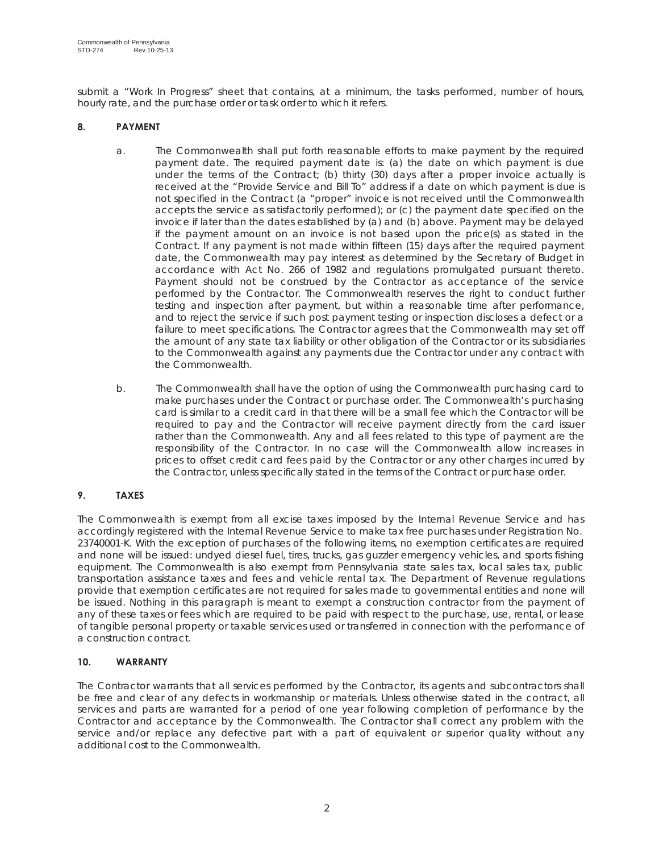submit a "Work In Progress" sheet that contains, at a minimum, the tasks performed, number of hours, hourly rate, and the purchase order or task order to which it refers.

# **8. PAYMENT**

- a. The Commonwealth shall put forth reasonable efforts to make payment by the required payment date. The required payment date is: (a) the date on which payment is due under the terms of the Contract; (b) thirty (30) days after a proper invoice actually is received at the "Provide Service and Bill To" address if a date on which payment is due is not specified in the Contract (a "proper" invoice is not received until the Commonwealth accepts the service as satisfactorily performed); or (c) the payment date specified on the invoice if later than the dates established by (a) and (b) above. Payment may be delayed if the payment amount on an invoice is not based upon the price(s) as stated in the Contract. If any payment is not made within fifteen (15) days after the required payment date, the Commonwealth may pay interest as determined by the Secretary of Budget in accordance with Act No. 266 of 1982 and regulations promulgated pursuant thereto. Payment should not be construed by the Contractor as acceptance of the service performed by the Contractor. The Commonwealth reserves the right to conduct further testing and inspection after payment, but within a reasonable time after performance, and to reject the service if such post payment testing or inspection discloses a defect or a failure to meet specifications. The Contractor agrees that the Commonwealth may set off the amount of any state tax liability or other obligation of the Contractor or its subsidiaries to the Commonwealth against any payments due the Contractor under any contract with the Commonwealth.
- b. The Commonwealth shall have the option of using the Commonwealth purchasing card to make purchases under the Contract or purchase order. The Commonwealth's purchasing card is similar to a credit card in that there will be a small fee which the Contractor will be required to pay and the Contractor will receive payment directly from the card issuer rather than the Commonwealth. Any and all fees related to this type of payment are the responsibility of the Contractor. In no case will the Commonwealth allow increases in prices to offset credit card fees paid by the Contractor or any other charges incurred by the Contractor, unless specifically stated in the terms of the Contract or purchase order.

# **9. TAXES**

The Commonwealth is exempt from all excise taxes imposed by the Internal Revenue Service and has accordingly registered with the Internal Revenue Service to make tax free purchases under Registration No. 23740001-K. With the exception of purchases of the following items, no exemption certificates are required and none will be issued: undyed diesel fuel, tires, trucks, gas guzzler emergency vehicles, and sports fishing equipment. The Commonwealth is also exempt from Pennsylvania state sales tax, local sales tax, public transportation assistance taxes and fees and vehicle rental tax. The Department of Revenue regulations provide that exemption certificates are not required for sales made to governmental entities and none will be issued. Nothing in this paragraph is meant to exempt a construction contractor from the payment of any of these taxes or fees which are required to be paid with respect to the purchase, use, rental, or lease of tangible personal property or taxable services used or transferred in connection with the performance of a construction contract.

# **10. WARRANTY**

The Contractor warrants that all services performed by the Contractor, its agents and subcontractors shall be free and clear of any defects in workmanship or materials. Unless otherwise stated in the contract, all services and parts are warranted for a period of one year following completion of performance by the Contractor and acceptance by the Commonwealth. The Contractor shall correct any problem with the service and/or replace any defective part with a part of equivalent or superior quality without any additional cost to the Commonwealth.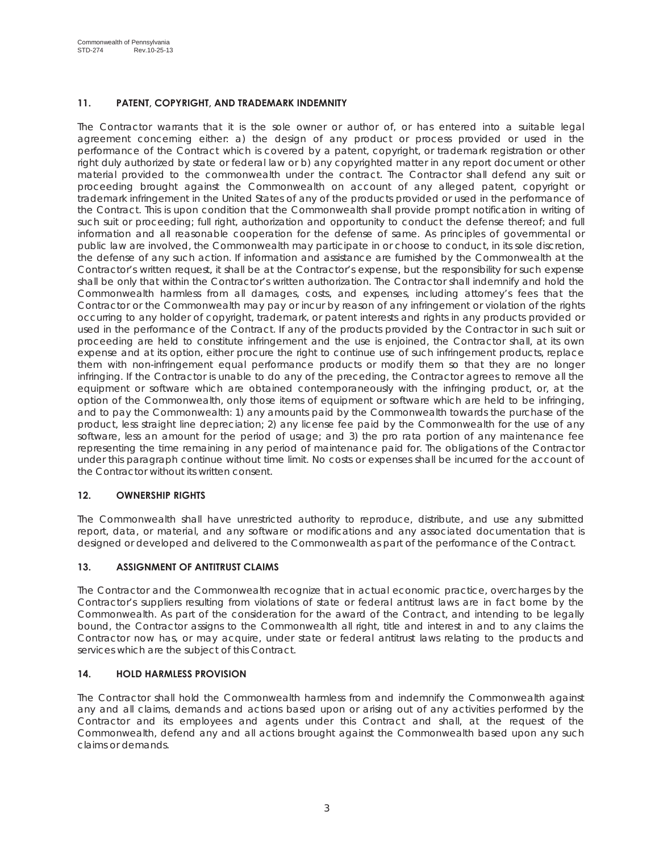# **11. PATENT, COPYRIGHT, AND TRADEMARK INDEMNITY**

The Contractor warrants that it is the sole owner or author of, or has entered into a suitable legal agreement concerning either: a) the design of any product or process provided or used in the performance of the Contract which is covered by a patent, copyright, or trademark registration or other right duly authorized by state or federal law or b) any copyrighted matter in any report document or other material provided to the commonwealth under the contract. The Contractor shall defend any suit or proceeding brought against the Commonwealth on account of any alleged patent, copyright or trademark infringement in the United States of any of the products provided or used in the performance of the Contract. This is upon condition that the Commonwealth shall provide prompt notification in writing of such suit or proceeding; full right, authorization and opportunity to conduct the defense thereof; and full information and all reasonable cooperation for the defense of same. As principles of governmental or public law are involved, the Commonwealth may participate in or choose to conduct, in its sole discretion, the defense of any such action. If information and assistance are furnished by the Commonwealth at the Contractor's written request, it shall be at the Contractor's expense, but the responsibility for such expense shall be only that within the Contractor's written authorization. The Contractor shall indemnify and hold the Commonwealth harmless from all damages, costs, and expenses, including attorney's fees that the Contractor or the Commonwealth may pay or incur by reason of any infringement or violation of the rights occurring to any holder of copyright, trademark, or patent interests and rights in any products provided or used in the performance of the Contract. If any of the products provided by the Contractor in such suit or proceeding are held to constitute infringement and the use is enjoined, the Contractor shall, at its own expense and at its option, either procure the right to continue use of such infringement products, replace them with non-infringement equal performance products or modify them so that they are no longer infringing. If the Contractor is unable to do any of the preceding, the Contractor agrees to remove all the equipment or software which are obtained contemporaneously with the infringing product, or, at the option of the Commonwealth, only those items of equipment or software which are held to be infringing, and to pay the Commonwealth: 1) any amounts paid by the Commonwealth towards the purchase of the product, less straight line depreciation; 2) any license fee paid by the Commonwealth for the use of any software, less an amount for the period of usage; and 3) the pro rata portion of any maintenance fee representing the time remaining in any period of maintenance paid for. The obligations of the Contractor under this paragraph continue without time limit. No costs or expenses shall be incurred for the account of the Contractor without its written consent.

# **12. OWNERSHIP RIGHTS**

The Commonwealth shall have unrestricted authority to reproduce, distribute, and use any submitted report, data, or material, and any software or modifications and any associated documentation that is designed or developed and delivered to the Commonwealth as part of the performance of the Contract.

# **13. ASSIGNMENT OF ANTITRUST CLAIMS**

The Contractor and the Commonwealth recognize that in actual economic practice, overcharges by the Contractor's suppliers resulting from violations of state or federal antitrust laws are in fact borne by the Commonwealth. As part of the consideration for the award of the Contract, and intending to be legally bound, the Contractor assigns to the Commonwealth all right, title and interest in and to any claims the Contractor now has, or may acquire, under state or federal antitrust laws relating to the products and services which are the subject of this Contract.

# **14. HOLD HARMLESS PROVISION**

The Contractor shall hold the Commonwealth harmless from and indemnify the Commonwealth against any and all claims, demands and actions based upon or arising out of any activities performed by the Contractor and its employees and agents under this Contract and shall, at the request of the Commonwealth, defend any and all actions brought against the Commonwealth based upon any such claims or demands.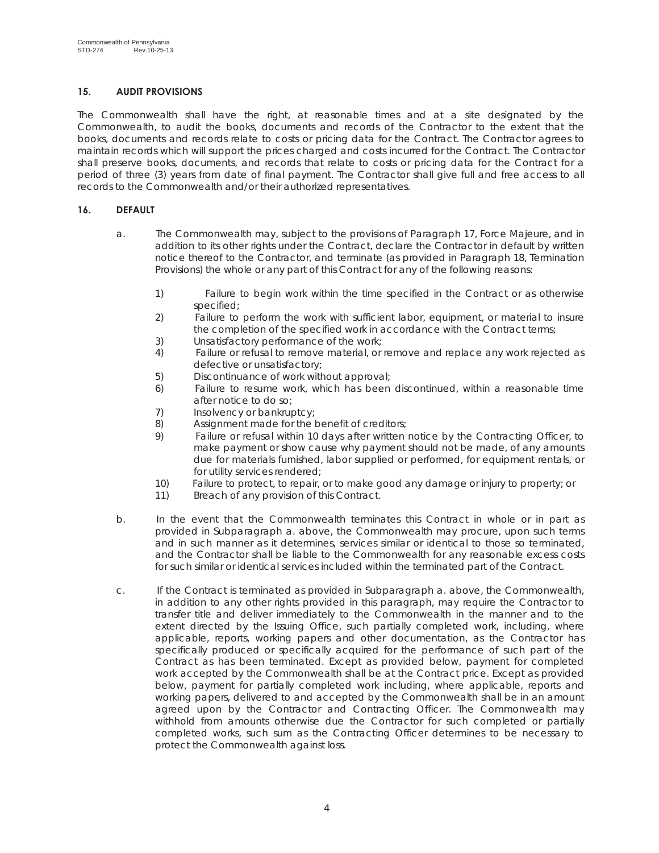# **15. AUDIT PROVISIONS**

The Commonwealth shall have the right, at reasonable times and at a site designated by the Commonwealth, to audit the books, documents and records of the Contractor to the extent that the books, documents and records relate to costs or pricing data for the Contract. The Contractor agrees to maintain records which will support the prices charged and costs incurred for the Contract. The Contractor shall preserve books, documents, and records that relate to costs or pricing data for the Contract for a period of three (3) years from date of final payment. The Contractor shall give full and free access to all records to the Commonwealth and/or their authorized representatives.

# **16. DEFAULT**

- a. The Commonwealth may, subject to the provisions of Paragraph 17, Force Majeure, and in addition to its other rights under the Contract, declare the Contractor in default by written notice thereof to the Contractor, and terminate (as provided in Paragraph 18, Termination Provisions) the whole or any part of this Contract for any of the following reasons:
	- 1) Failure to begin work within the time specified in the Contract or as otherwise specified;
	- 2) Failure to perform the work with sufficient labor, equipment, or material to insure the completion of the specified work in accordance with the Contract terms;
	- 3) Unsatisfactory performance of the work;
	- 4) Failure or refusal to remove material, or remove and replace any work rejected as defective or unsatisfactory;
	- 5) Discontinuance of work without approval;
	- 6) Failure to resume work, which has been discontinued, within a reasonable time after notice to do so;
	- 7) Insolvency or bankruptcy;
	- 8) Assignment made for the benefit of creditors;
	- 9) Failure or refusal within 10 days after written notice by the Contracting Officer, to make payment or show cause why payment should not be made, of any amounts due for materials furnished, labor supplied or performed, for equipment rentals, or for utility services rendered;
	- 10) Failure to protect, to repair, or to make good any damage or injury to property; or
	- 11) Breach of any provision of this Contract.
- b. In the event that the Commonwealth terminates this Contract in whole or in part as provided in Subparagraph a. above, the Commonwealth may procure, upon such terms and in such manner as it determines, services similar or identical to those so terminated, and the Contractor shall be liable to the Commonwealth for any reasonable excess costs for such similar or identical services included within the terminated part of the Contract.
- c. If the Contract is terminated as provided in Subparagraph a. above, the Commonwealth, in addition to any other rights provided in this paragraph, may require the Contractor to transfer title and deliver immediately to the Commonwealth in the manner and to the extent directed by the Issuing Office, such partially completed work, including, where applicable, reports, working papers and other documentation, as the Contractor has specifically produced or specifically acquired for the performance of such part of the Contract as has been terminated. Except as provided below, payment for completed work accepted by the Commonwealth shall be at the Contract price. Except as provided below, payment for partially completed work including, where applicable, reports and working papers, delivered to and accepted by the Commonwealth shall be in an amount agreed upon by the Contractor and Contracting Officer. The Commonwealth may withhold from amounts otherwise due the Contractor for such completed or partially completed works, such sum as the Contracting Officer determines to be necessary to protect the Commonwealth against loss.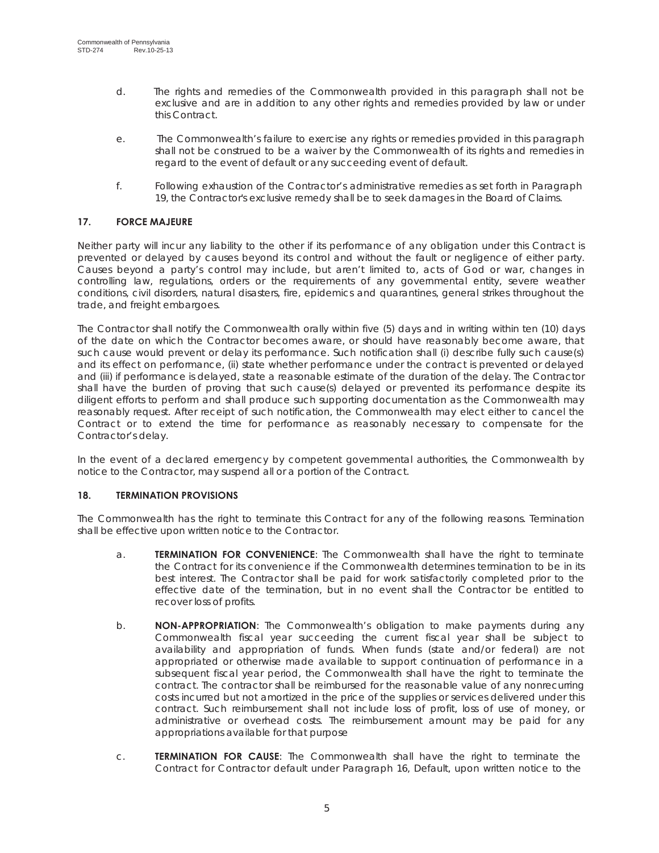- d. The rights and remedies of the Commonwealth provided in this paragraph shall not be exclusive and are in addition to any other rights and remedies provided by law or under this Contract.
- e. The Commonwealth's failure to exercise any rights or remedies provided in this paragraph shall not be construed to be a waiver by the Commonwealth of its rights and remedies in regard to the event of default or any succeeding event of default.
- f. Following exhaustion of the Contractor's administrative remedies as set forth in Paragraph 19, the Contractor's exclusive remedy shall be to seek damages in the Board of Claims.

# **17. FORCE MAJEURE**

Neither party will incur any liability to the other if its performance of any obligation under this Contract is prevented or delayed by causes beyond its control and without the fault or negligence of either party. Causes beyond a party's control may include, but aren't limited to, acts of God or war, changes in controlling law, regulations, orders or the requirements of any governmental entity, severe weather conditions, civil disorders, natural disasters, fire, epidemics and quarantines, general strikes throughout the trade, and freight embargoes.

The Contractor shall notify the Commonwealth orally within five (5) days and in writing within ten (10) days of the date on which the Contractor becomes aware, or should have reasonably become aware, that such cause would prevent or delay its performance. Such notification shall (i) describe fully such cause(s) and its effect on performance, (ii) state whether performance under the contract is prevented or delayed and (iii) if performance is delayed, state a reasonable estimate of the duration of the delay. The Contractor shall have the burden of proving that such cause(s) delayed or prevented its performance despite its diligent efforts to perform and shall produce such supporting documentation as the Commonwealth may reasonably request. After receipt of such notification, the Commonwealth may elect either to cancel the Contract or to extend the time for performance as reasonably necessary to compensate for the Contractor's delay.

In the event of a declared emergency by competent governmental authorities, the Commonwealth by notice to the Contractor, may suspend all or a portion of the Contract.

# **18. TERMINATION PROVISIONS**

The Commonwealth has the right to terminate this Contract for any of the following reasons. Termination shall be effective upon written notice to the Contractor.

- a. **TERMINATION FOR CONVENIENCE**: The Commonwealth shall have the right to terminate the Contract for its convenience if the Commonwealth determines termination to be in its best interest. The Contractor shall be paid for work satisfactorily completed prior to the effective date of the termination, but in no event shall the Contractor be entitled to recover loss of profits.
- b. **NON-APPROPRIATION**: The Commonwealth's obligation to make payments during any Commonwealth fiscal year succeeding the current fiscal year shall be subject to availability and appropriation of funds. When funds (state and/or federal) are not appropriated or otherwise made available to support continuation of performance in a subsequent fiscal year period, the Commonwealth shall have the right to terminate the contract. The contractor shall be reimbursed for the reasonable value of any nonrecurring costs incurred but not amortized in the price of the supplies or services delivered under this contract. Such reimbursement shall not include loss of profit, loss of use of money, or administrative or overhead costs. The reimbursement amount may be paid for any appropriations available for that purpose
- c. **TERMINATION FOR CAUSE**: The Commonwealth shall have the right to terminate the Contract for Contractor default under Paragraph 16, Default, upon written notice to the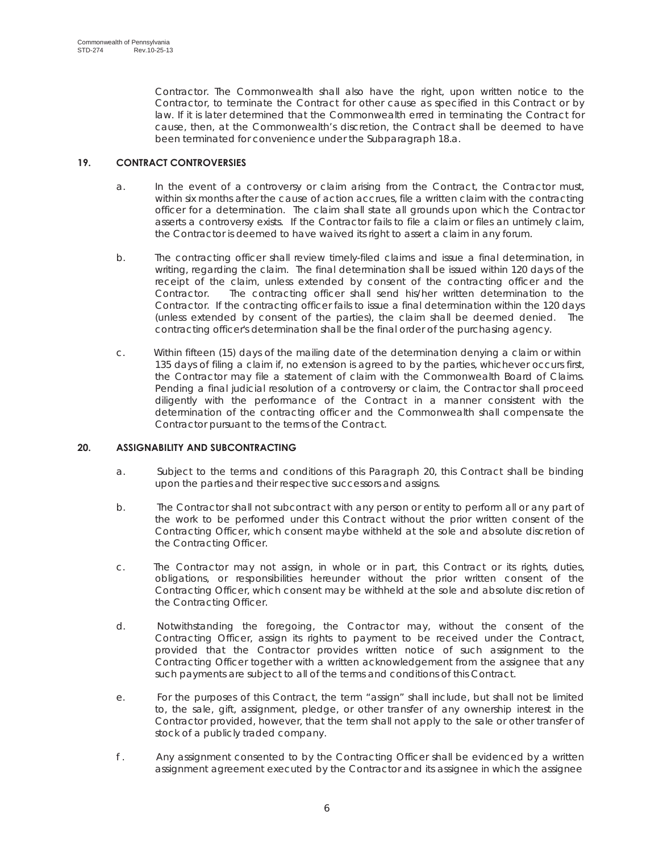Contractor. The Commonwealth shall also have the right, upon written notice to the Contractor, to terminate the Contract for other cause as specified in this Contract or by law. If it is later determined that the Commonwealth erred in terminating the Contract for cause, then, at the Commonwealth's discretion, the Contract shall be deemed to have been terminated for convenience under the Subparagraph 18.a.

# **19. CONTRACT CONTROVERSIES**

- a. In the event of a controversy or claim arising from the Contract, the Contractor must, within six months after the cause of action accrues, file a written claim with the contracting officer for a determination. The claim shall state all grounds upon which the Contractor asserts a controversy exists. If the Contractor fails to file a claim or files an untimely claim, the Contractor is deemed to have waived its right to assert a claim in any forum.
- b. The contracting officer shall review timely-filed claims and issue a final determination, in writing, regarding the claim. The final determination shall be issued within 120 days of the receipt of the claim, unless extended by consent of the contracting officer and the Contractor. The contracting officer shall send his/her written determination to the Contractor. If the contracting officer fails to issue a final determination within the 120 days (unless extended by consent of the parties), the claim shall be deemed denied. The contracting officer's determination shall be the final order of the purchasing agency.
- c. Within fifteen (15) days of the mailing date of the determination denying a claim or within 135 days of filing a claim if, no extension is agreed to by the parties, whichever occurs first, the Contractor may file a statement of claim with the Commonwealth Board of Claims. Pending a final judicial resolution of a controversy or claim, the Contractor shall proceed diligently with the performance of the Contract in a manner consistent with the determination of the contracting officer and the Commonwealth shall compensate the Contractor pursuant to the terms of the Contract.

# **20. ASSIGNABILITY AND SUBCONTRACTING**

- a. Subject to the terms and conditions of this Paragraph 20, this Contract shall be binding upon the parties and their respective successors and assigns.
- b. The Contractor shall not subcontract with any person or entity to perform all or any part of the work to be performed under this Contract without the prior written consent of the Contracting Officer, which consent maybe withheld at the sole and absolute discretion of the Contracting Officer.
- c. The Contractor may not assign, in whole or in part, this Contract or its rights, duties, obligations, or responsibilities hereunder without the prior written consent of the Contracting Officer, which consent may be withheld at the sole and absolute discretion of the Contracting Officer.
- d. Notwithstanding the foregoing, the Contractor may, without the consent of the Contracting Officer, assign its rights to payment to be received under the Contract, provided that the Contractor provides written notice of such assignment to the Contracting Officer together with a written acknowledgement from the assignee that any such payments are subject to all of the terms and conditions of this Contract.
- e. For the purposes of this Contract, the term "assign" shall include, but shall not be limited to, the sale, gift, assignment, pledge, or other transfer of any ownership interest in the Contractor provided, however, that the term shall not apply to the sale or other transfer of stock of a publicly traded company.
- f . Any assignment consented to by the Contracting Officer shall be evidenced by a written assignment agreement executed by the Contractor and its assignee in which the assignee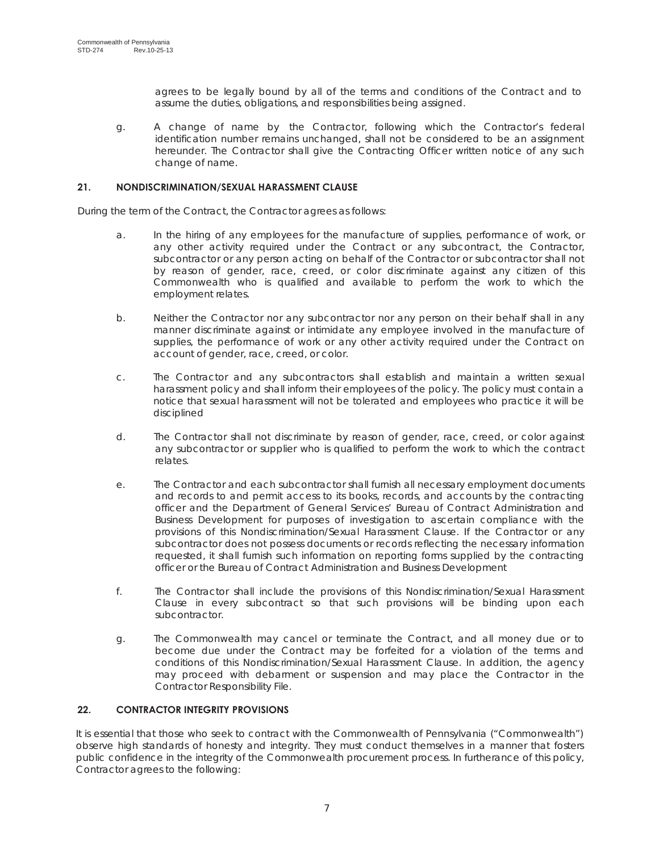agrees to be legally bound by all of the terms and conditions of the Contract and to assume the duties, obligations, and responsibilities being assigned.

g. A change of name by the Contractor, following which the Contractor's federal identification number remains unchanged, shall not be considered to be an assignment hereunder. The Contractor shall give the Contracting Officer written notice of any such change of name.

## **21. NONDISCRIMINATION/SEXUAL HARASSMENT CLAUSE**

During the term of the Contract, the Contractor agrees as follows:

- a. In the hiring of any employees for the manufacture of supplies, performance of work, or any other activity required under the Contract or any subcontract, the Contractor, subcontractor or any person acting on behalf of the Contractor or subcontractor shall not by reason of gender, race, creed, or color discriminate against any citizen of this Commonwealth who is qualified and available to perform the work to which the employment relates.
- b. Neither the Contractor nor any subcontractor nor any person on their behalf shall in any manner discriminate against or intimidate any employee involved in the manufacture of supplies, the performance of work or any other activity required under the Contract on account of gender, race, creed, or color.
- c. The Contractor and any subcontractors shall establish and maintain a written sexual harassment policy and shall inform their employees of the policy. The policy must contain a notice that sexual harassment will not be tolerated and employees who practice it will be disciplined
- d. The Contractor shall not discriminate by reason of gender, race, creed, or color against any subcontractor or supplier who is qualified to perform the work to which the contract relates.
- e. The Contractor and each subcontractor shall furnish all necessary employment documents and records to and permit access to its books, records, and accounts by the contracting officer and the Department of General Services' Bureau of Contract Administration and Business Development for purposes of investigation to ascertain compliance with the provisions of this Nondiscrimination/Sexual Harassment Clause. If the Contractor or any subcontractor does not possess documents or records reflecting the necessary information requested, it shall furnish such information on reporting forms supplied by the contracting officer or the Bureau of Contract Administration and Business Development
- f. The Contractor shall include the provisions of this Nondiscrimination/Sexual Harassment Clause in every subcontract so that such provisions will be binding upon each subcontractor.
- g. The Commonwealth may cancel or terminate the Contract, and all money due or to become due under the Contract may be forfeited for a violation of the terms and conditions of this Nondiscrimination/Sexual Harassment Clause. In addition, the agency may proceed with debarment or suspension and may place the Contractor in the Contractor Responsibility File.

# **22. CONTRACTOR INTEGRITY PROVISIONS**

It is essential that those who seek to contract with the Commonwealth of Pennsylvania ("Commonwealth") observe high standards of honesty and integrity. They must conduct themselves in a manner that fosters public confidence in the integrity of the Commonwealth procurement process. In furtherance of this policy, Contractor agrees to the following: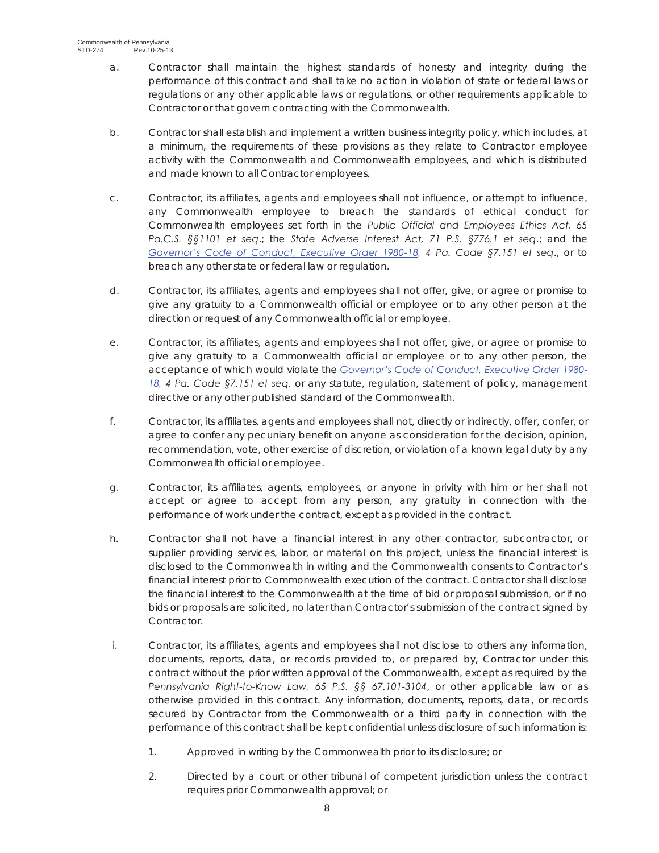- a. Contractor shall maintain the highest standards of honesty and integrity during the performance of this contract and shall take no action in violation of state or federal laws or regulations or any other applicable laws or regulations, or other requirements applicable to Contractor or that govern contracting with the Commonwealth.
- b. Contractor shall establish and implement a written business integrity policy, which includes, at a minimum, the requirements of these provisions as they relate to Contractor employee activity with the Commonwealth and Commonwealth employees, and which is distributed and made known to all Contractor employees.
- c. Contractor, its affiliates, agents and employees shall not influence, or attempt to influence, any Commonwealth employee to breach the standards of ethical conduct for Commonwealth employees set forth in the *Public Official and Employees Ethics Act, 65 Pa.C.S. §§1101 et seq*.; the *State Adverse Interest Act, 71 P.S. §776.1 et seq*.; and the *Governor's Code of Conduct, Executive Order 1980-18, 4 Pa. Code §7.151 et seq*., or to breach any other state or federal law or regulation.
- d. Contractor, its affiliates, agents and employees shall not offer, give, or agree or promise to give any gratuity to a Commonwealth official or employee or to any other person at the direction or request of any Commonwealth official or employee.
- e. Contractor, its affiliates, agents and employees shall not offer, give, or agree or promise to give any gratuity to a Commonwealth official or employee or to any other person, the acceptance of which would violate the *Governor's Code of Conduct, Executive Order 1980- 18, 4 Pa. Code §7.151 et seq.* or any statute, regulation, statement of policy, management directive or any other published standard of the Commonwealth.
- f. Contractor, its affiliates, agents and employees shall not, directly or indirectly, offer, confer, or agree to confer any pecuniary benefit on anyone as consideration for the decision, opinion, recommendation, vote, other exercise of discretion, or violation of a known legal duty by any Commonwealth official or employee.
- g. Contractor, its affiliates, agents, employees, or anyone in privity with him or her shall not accept or agree to accept from any person, any gratuity in connection with the performance of work under the contract, except as provided in the contract.
- h. Contractor shall not have a financial interest in any other contractor, subcontractor, or supplier providing services, labor, or material on this project, unless the financial interest is disclosed to the Commonwealth in writing and the Commonwealth consents to Contractor's financial interest prior to Commonwealth execution of the contract. Contractor shall disclose the financial interest to the Commonwealth at the time of bid or proposal submission, or if no bids or proposals are solicited, no later than Contractor's submission of the contract signed by Contractor.
- i. Contractor, its affiliates, agents and employees shall not disclose to others any information, documents, reports, data, or records provided to, or prepared by, Contractor under this contract without the prior written approval of the Commonwealth, except as required by the *Pennsylvania Right-to-Know Law, 65 P.S. §§ 67.101-3104*, or other applicable law or as otherwise provided in this contract. Any information, documents, reports, data, or records secured by Contractor from the Commonwealth or a third party in connection with the performance of this contract shall be kept confidential unless disclosure of such information is:
	- 1. Approved in writing by the Commonwealth prior to its disclosure; or
	- 2. Directed by a court or other tribunal of competent jurisdiction unless the contract requires prior Commonwealth approval; or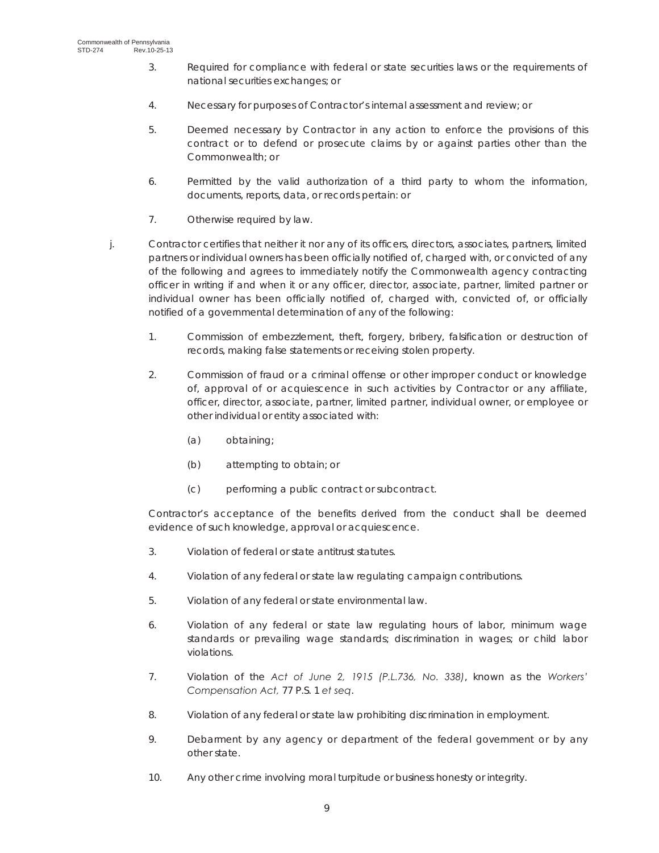- 3. Required for compliance with federal or state securities laws or the requirements of national securities exchanges; or
- 4. Necessary for purposes of Contractor's internal assessment and review; or
- 5. Deemed necessary by Contractor in any action to enforce the provisions of this contract or to defend or prosecute claims by or against parties other than the Commonwealth; or
- 6. Permitted by the valid authorization of a third party to whom the information, documents, reports, data, or records pertain: or
- 7. Otherwise required by law.
- j. Contractor certifies that neither it nor any of its officers, directors, associates, partners, limited partners or individual owners has been officially notified of, charged with, or convicted of any of the following and agrees to immediately notify the Commonwealth agency contracting officer in writing if and when it or any officer, director, associate, partner, limited partner or individual owner has been officially notified of, charged with, convicted of, or officially notified of a governmental determination of any of the following:
	- 1. Commission of embezzlement, theft, forgery, bribery, falsification or destruction of records, making false statements or receiving stolen property.
	- 2. Commission of fraud or a criminal offense or other improper conduct or knowledge of, approval of or acquiescence in such activities by Contractor or any affiliate, officer, director, associate, partner, limited partner, individual owner, or employee or other individual or entity associated with:
		- (a) obtaining;
		- (b) attempting to obtain; or
		- (c) performing a public contract or subcontract.

Contractor's acceptance of the benefits derived from the conduct shall be deemed evidence of such knowledge, approval or acquiescence.

- 3. Violation of federal or state antitrust statutes.
- 4. Violation of any federal or state law regulating campaign contributions.
- 5. Violation of any federal or state environmental law.
- 6. Violation of any federal or state law regulating hours of labor, minimum wage standards or prevailing wage standards; discrimination in wages; or child labor violations.
- 7. Violation of the *Act of June 2, 1915 (P.L.736, No. 338)*, known as the *Workers' Compensation Act,* 77 P.S. 1 *et seq*.
- 8. Violation of any federal or state law prohibiting discrimination in employment.
- 9. Debarment by any agency or department of the federal government or by any other state.
- 10. Any other crime involving moral turpitude or business honesty or integrity.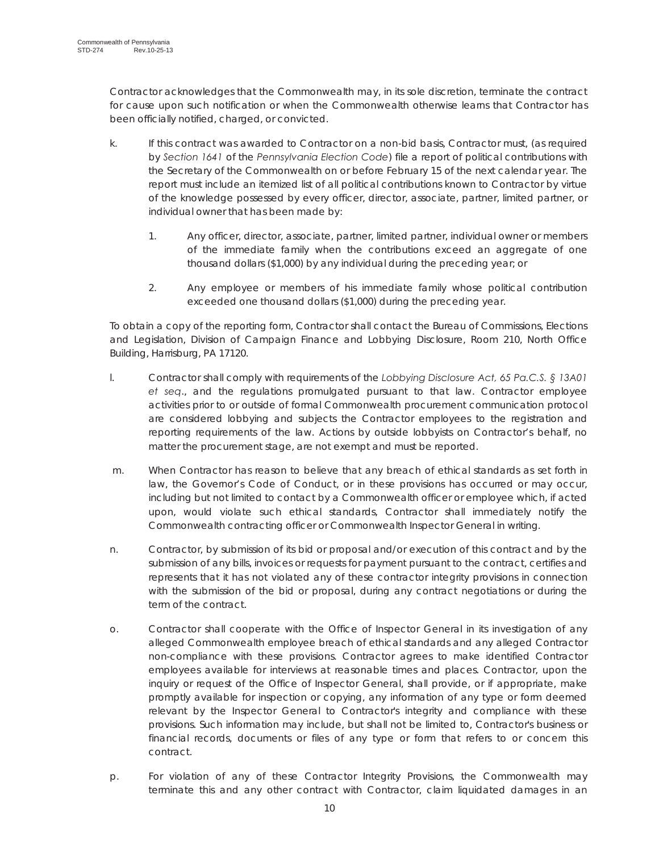Contractor acknowledges that the Commonwealth may, in its sole discretion, terminate the contract for cause upon such notification or when the Commonwealth otherwise learns that Contractor has been officially notified, charged, or convicted.

- k. If this contract was awarded to Contractor on a non-bid basis, Contractor must, (as required by *Section 1641* of the *Pennsylvania Election Code*) file a report of political contributions with the Secretary of the Commonwealth on or before February 15 of the next calendar year. The report must include an itemized list of all political contributions known to Contractor by virtue of the knowledge possessed by every officer, director, associate, partner, limited partner, or individual owner that has been made by:
	- 1. Any officer, director, associate, partner, limited partner, individual owner or members of the immediate family when the contributions exceed an aggregate of one thousand dollars (\$1,000) by any individual during the preceding year; or
	- 2. Any employee or members of his immediate family whose political contribution exceeded one thousand dollars (\$1,000) during the preceding year.

 To obtain a copy of the reporting form, Contractor shall contact the Bureau of Commissions, Elections and Legislation, Division of Campaign Finance and Lobbying Disclosure, Room 210, North Office Building, Harrisburg, PA 17120.

- l. Contractor shall comply with requirements of the *Lobbying Disclosure Act, 65 Pa.C.S. § 13A01 et seq*., and the regulations promulgated pursuant to that law. Contractor employee activities prior to or outside of formal Commonwealth procurement communication protocol are considered lobbying and subjects the Contractor employees to the registration and reporting requirements of the law. Actions by outside lobbyists on Contractor's behalf, no matter the procurement stage, are not exempt and must be reported.
- m. When Contractor has reason to believe that any breach of ethical standards as set forth in law, the Governor's Code of Conduct, or in these provisions has occurred or may occur, including but not limited to contact by a Commonwealth officer or employee which, if acted upon, would violate such ethical standards, Contractor shall immediately notify the Commonwealth contracting officer or Commonwealth Inspector General in writing.
- n. Contractor, by submission of its bid or proposal and/or execution of this contract and by the submission of any bills, invoices or requests for payment pursuant to the contract, certifies and represents that it has not violated any of these contractor integrity provisions in connection with the submission of the bid or proposal, during any contract negotiations or during the term of the contract.
- o. Contractor shall cooperate with the Office of Inspector General in its investigation of any alleged Commonwealth employee breach of ethical standards and any alleged Contractor non-compliance with these provisions. Contractor agrees to make identified Contractor employees available for interviews at reasonable times and places. Contractor, upon the inquiry or request of the Office of Inspector General, shall provide, or if appropriate, make promptly available for inspection or copying, any information of any type or form deemed relevant by the Inspector General to Contractor's integrity and compliance with these provisions. Such information may include, but shall not be limited to, Contractor's business or financial records, documents or files of any type or form that refers to or concern this contract.
- p. For violation of any of these Contractor Integrity Provisions, the Commonwealth may terminate this and any other contract with Contractor, claim liquidated damages in an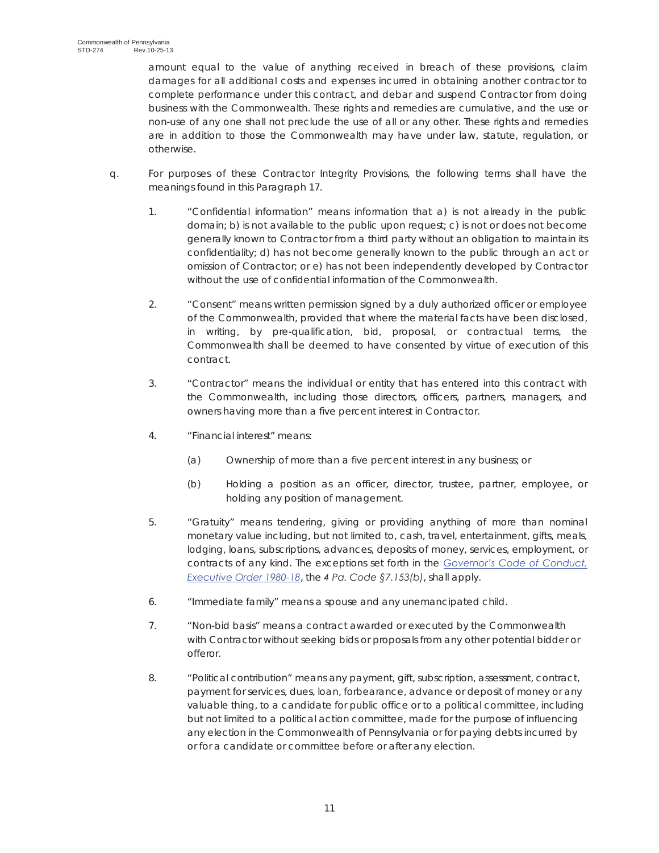amount equal to the value of anything received in breach of these provisions, claim damages for all additional costs and expenses incurred in obtaining another contractor to complete performance under this contract, and debar and suspend Contractor from doing business with the Commonwealth. These rights and remedies are cumulative, and the use or non-use of any one shall not preclude the use of all or any other. These rights and remedies are in addition to those the Commonwealth may have under law, statute, regulation, or otherwise.

- q. For purposes of these Contractor Integrity Provisions, the following terms shall have the meanings found in this Paragraph 17.
	- 1. "Confidential information" means information that a) is not already in the public domain; b) is not available to the public upon request; c) is not or does not become generally known to Contractor from a third party without an obligation to maintain its confidentiality; d) has not become generally known to the public through an act or omission of Contractor; or e) has not been independently developed by Contractor without the use of confidential information of the Commonwealth.
	- 2. "Consent" means written permission signed by a duly authorized officer or employee of the Commonwealth, provided that where the material facts have been disclosed, in writing, by pre-qualification, bid, proposal, or contractual terms, the Commonwealth shall be deemed to have consented by virtue of execution of this contract.
	- 3. **"**Contractor" means the individual or entity that has entered into this contract with the Commonwealth, including those directors, officers, partners, managers, and owners having more than a five percent interest in Contractor.
	- 4**.** "Financial interest" means:
		- (a) Ownership of more than a five percent interest in any business; or
		- (b) Holding a position as an officer, director, trustee, partner, employee, or holding any position of management.
	- 5. "Gratuity" means tendering, giving or providing anything of more than nominal monetary value including, but not limited to, cash, travel, entertainment, gifts, meals, lodging, loans, subscriptions, advances, deposits of money, services, employment, or contracts of any kind. The exceptions set forth in the *Governor's Code of Conduct, Executive Order 1980-18*, the *4 Pa. Code §7.153(b)*, shall apply.
	- 6. "Immediate family" means a spouse and any unemancipated child.
	- 7. "Non-bid basis" means a contract awarded or executed by the Commonwealth with Contractor without seeking bids or proposals from any other potential bidder or offeror.
	- 8. "Political contribution" means any payment, gift, subscription, assessment, contract, payment for services, dues, loan, forbearance, advance or deposit of money or any valuable thing, to a candidate for public office or to a political committee, including but not limited to a political action committee, made for the purpose of influencing any election in the Commonwealth of Pennsylvania or for paying debts incurred by or for a candidate or committee before or after any election.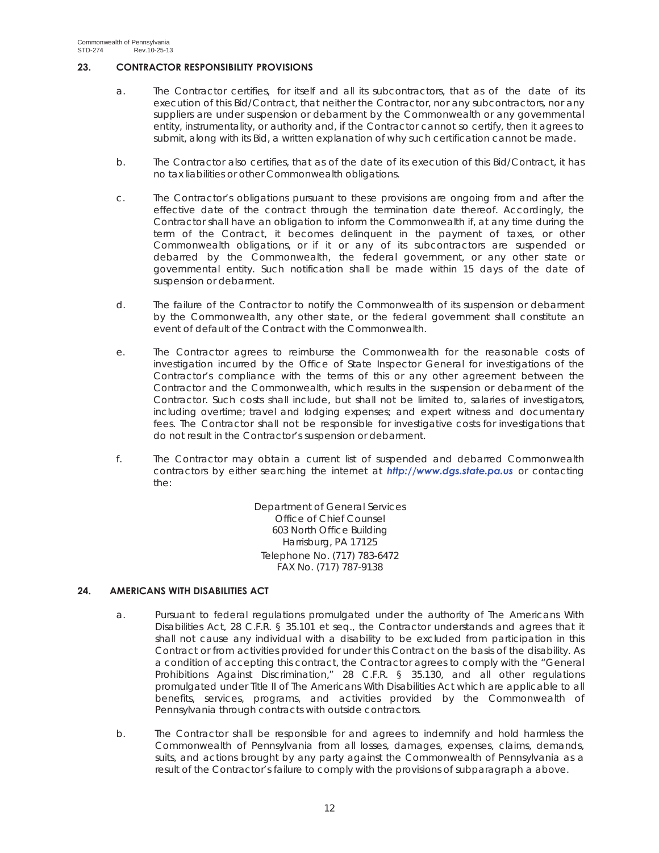# **23. CONTRACTOR RESPONSIBILITY PROVISIONS**

- a. The Contractor certifies, for itself and all its subcontractors, that as of the date of its execution of this Bid/Contract, that neither the Contractor, nor any subcontractors, nor any suppliers are under suspension or debarment by the Commonwealth or any governmental entity, instrumentality, or authority and, if the Contractor cannot so certify, then it agrees to submit, along with its Bid, a written explanation of why such certification cannot be made.
- b. The Contractor also certifies, that as of the date of its execution of this Bid/Contract, it has no tax liabilities or other Commonwealth obligations.
- c. The Contractor's obligations pursuant to these provisions are ongoing from and after the effective date of the contract through the termination date thereof. Accordingly, the Contractor shall have an obligation to inform the Commonwealth if, at any time during the term of the Contract, it becomes delinquent in the payment of taxes, or other Commonwealth obligations, or if it or any of its subcontractors are suspended or debarred by the Commonwealth, the federal government, or any other state or governmental entity. Such notification shall be made within 15 days of the date of suspension or debarment.
- d. The failure of the Contractor to notify the Commonwealth of its suspension or debarment by the Commonwealth, any other state, or the federal government shall constitute an event of default of the Contract with the Commonwealth.
- e. The Contractor agrees to reimburse the Commonwealth for the reasonable costs of investigation incurred by the Office of State Inspector General for investigations of the Contractor's compliance with the terms of this or any other agreement between the Contractor and the Commonwealth, which results in the suspension or debarment of the Contractor. Such costs shall include, but shall not be limited to, salaries of investigators, including overtime; travel and lodging expenses; and expert witness and documentary fees. The Contractor shall not be responsible for investigative costs for investigations that do not result in the Contractor's suspension or debarment.
- f. The Contractor may obtain a current list of suspended and debarred Commonwealth contractors by either searching the internet at *http://www.dgs.state.pa.us* or contacting the:

Department of General Services Office of Chief Counsel 603 North Office Building Harrisburg, PA 17125 Telephone No. (717) 783-6472 FAX No. (717) 787-9138

# **24. AMERICANS WITH DISABILITIES ACT**

- a. Pursuant to federal regulations promulgated under the authority of The Americans With Disabilities Act, 28 C.F.R. § 35.101 et seq., the Contractor understands and agrees that it shall not cause any individual with a disability to be excluded from participation in this Contract or from activities provided for under this Contract on the basis of the disability. As a condition of accepting this contract, the Contractor agrees to comply with the "General Prohibitions Against Discrimination," 28 C.F.R. § 35.130, and all other regulations promulgated under Title II of The Americans With Disabilities Act which are applicable to all benefits, services, programs, and activities provided by the Commonwealth of Pennsylvania through contracts with outside contractors.
- b. The Contractor shall be responsible for and agrees to indemnify and hold harmless the Commonwealth of Pennsylvania from all losses, damages, expenses, claims, demands, suits, and actions brought by any party against the Commonwealth of Pennsylvania as a result of the Contractor's failure to comply with the provisions of subparagraph a above.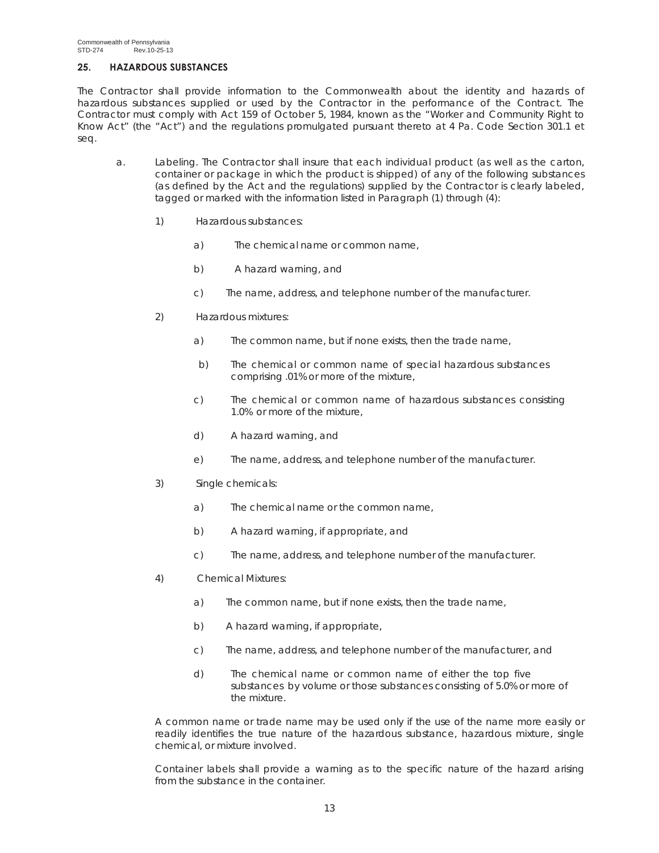# **25. HAZARDOUS SUBSTANCES**

The Contractor shall provide information to the Commonwealth about the identity and hazards of hazardous substances supplied or used by the Contractor in the performance of the Contract. The Contractor must comply with Act 159 of October 5, 1984, known as the "Worker and Community Right to Know Act" (the "Act") and the regulations promulgated pursuant thereto at 4 Pa. Code Section 301.1 et seq.

- a. Labeling. The Contractor shall insure that each individual product (as well as the carton, container or package in which the product is shipped) of any of the following substances (as defined by the Act and the regulations) supplied by the Contractor is clearly labeled, tagged or marked with the information listed in Paragraph (1) through (4):
	- 1) Hazardous substances:
		- a) The chemical name or common name,
		- b) A hazard warning, and
		- c) The name, address, and telephone number of the manufacturer.
	- 2) Hazardous mixtures:
		- a) The common name, but if none exists, then the trade name,
		- b) The chemical or common name of special hazardous substances comprising .01% or more of the mixture,
		- c) The chemical or common name of hazardous substances consisting 1.0% or more of the mixture,
		- d) A hazard warning, and
		- e) The name, address, and telephone number of the manufacturer.
	- 3) Single chemicals:
		- a) The chemical name or the common name,
		- b) A hazard warning, if appropriate, and
		- c) The name, address, and telephone number of the manufacturer.
	- 4) Chemical Mixtures:
		- a) The common name, but if none exists, then the trade name,
		- b) A hazard warning, if appropriate,
		- c) The name, address, and telephone number of the manufacturer, and
		- d) The chemical name or common name of either the top five substances by volume or those substances consisting of 5.0% or more of the mixture.

A common name or trade name may be used only if the use of the name more easily or readily identifies the true nature of the hazardous substance, hazardous mixture, single chemical, or mixture involved.

Container labels shall provide a warning as to the specific nature of the hazard arising from the substance in the container.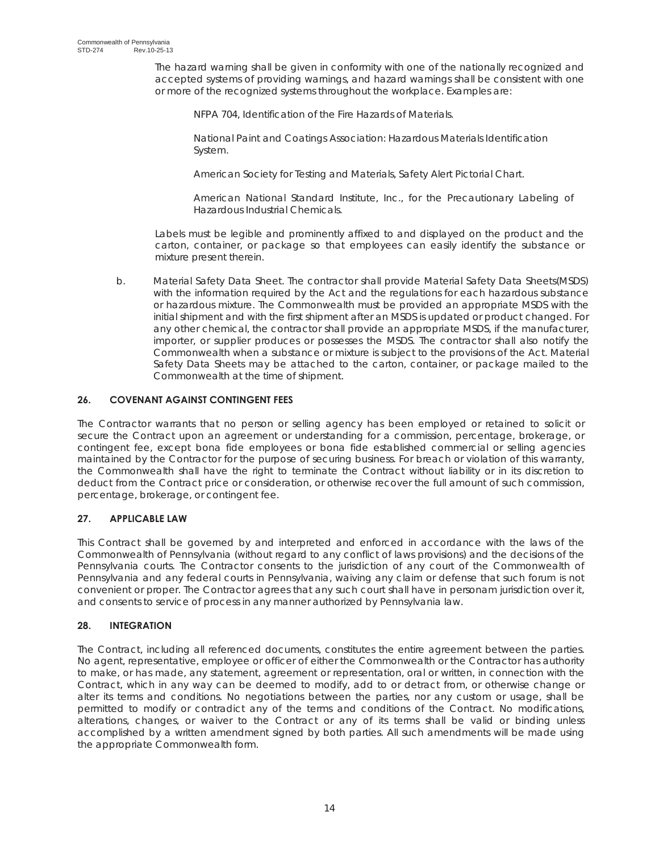The hazard warning shall be given in conformity with one of the nationally recognized and accepted systems of providing warnings, and hazard warnings shall be consistent with one or more of the recognized systems throughout the workplace. Examples are:

NFPA 704, Identification of the Fire Hazards of Materials.

National Paint and Coatings Association: Hazardous Materials Identification System.

American Society for Testing and Materials, Safety Alert Pictorial Chart.

American National Standard Institute, Inc., for the Precautionary Labeling of Hazardous Industrial Chemicals.

Labels must be legible and prominently affixed to and displayed on the product and the carton, container, or package so that employees can easily identify the substance or mixture present therein.

b. Material Safety Data Sheet. The contractor shall provide Material Safety Data Sheets(MSDS) with the information required by the Act and the regulations for each hazardous substance or hazardous mixture. The Commonwealth must be provided an appropriate MSDS with the initial shipment and with the first shipment after an MSDS is updated or product changed. For any other chemical, the contractor shall provide an appropriate MSDS, if the manufacturer, importer, or supplier produces or possesses the MSDS. The contractor shall also notify the Commonwealth when a substance or mixture is subject to the provisions of the Act. Material Safety Data Sheets may be attached to the carton, container, or package mailed to the Commonwealth at the time of shipment.

# **26. COVENANT AGAINST CONTINGENT FEES**

The Contractor warrants that no person or selling agency has been employed or retained to solicit or secure the Contract upon an agreement or understanding for a commission, percentage, brokerage, or contingent fee, except bona fide employees or bona fide established commercial or selling agencies maintained by the Contractor for the purpose of securing business. For breach or violation of this warranty, the Commonwealth shall have the right to terminate the Contract without liability or in its discretion to deduct from the Contract price or consideration, or otherwise recover the full amount of such commission, percentage, brokerage, or contingent fee.

# **27. APPLICABLE LAW**

This Contract shall be governed by and interpreted and enforced in accordance with the laws of the Commonwealth of Pennsylvania (without regard to any conflict of laws provisions) and the decisions of the Pennsylvania courts. The Contractor consents to the jurisdiction of any court of the Commonwealth of Pennsylvania and any federal courts in Pennsylvania, waiving any claim or defense that such forum is not convenient or proper. The Contractor agrees that any such court shall have in personam jurisdiction over it, and consents to service of process in any manner authorized by Pennsylvania law.

# **28. INTEGRATION**

The Contract, including all referenced documents, constitutes the entire agreement between the parties. No agent, representative, employee or officer of either the Commonwealth or the Contractor has authority to make, or has made, any statement, agreement or representation, oral or written, in connection with the Contract, which in any way can be deemed to modify, add to or detract from, or otherwise change or alter its terms and conditions. No negotiations between the parties, nor any custom or usage, shall be permitted to modify or contradict any of the terms and conditions of the Contract. No modifications, alterations, changes, or waiver to the Contract or any of its terms shall be valid or binding unless accomplished by a written amendment signed by both parties. All such amendments will be made using the appropriate Commonwealth form.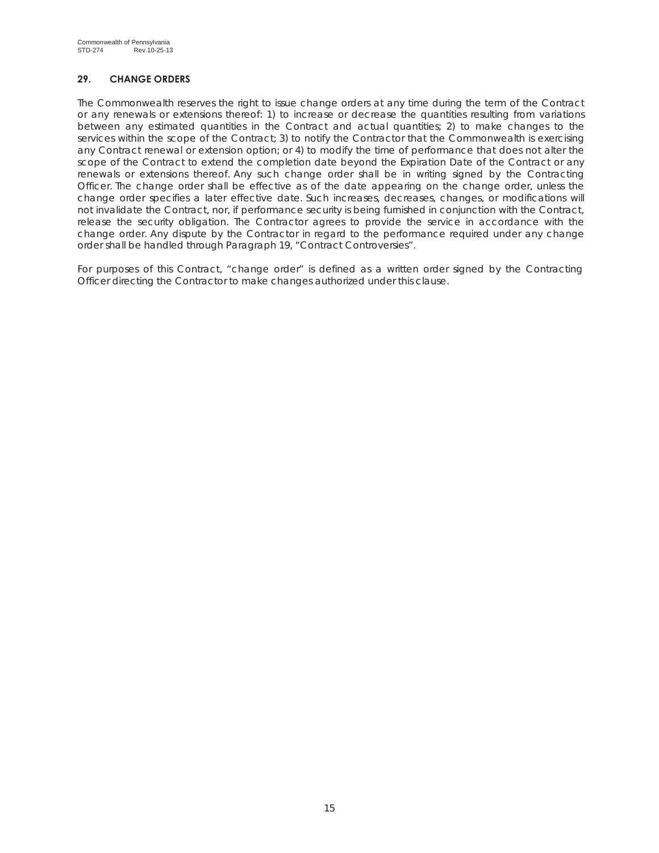# **29. CHANGE ORDERS**

The Commonwealth reserves the right to issue change orders at any time during the term of the Contract or any renewals or extensions thereof: 1) to increase or decrease the quantities resulting from variations between any estimated quantities in the Contract and actual quantities; 2) to make changes to the services within the scope of the Contract; 3) to notify the Contractor that the Commonwealth is exercising any Contract renewal or extension option; or 4) to modify the time of performance that does not alter the scope of the Contract to extend the completion date beyond the Expiration Date of the Contract or any renewals or extensions thereof. Any such change order shall be in writing signed by the Contracting Officer. The change order shall be effective as of the date appearing on the change order, unless the change order specifies a later effective date. Such increases, decreases, changes, or modifications will not invalidate the Contract, nor, if performance security is being furnished in conjunction with the Contract, release the security obligation. The Contractor agrees to provide the service in accordance with the change order. Any dispute by the Contractor in regard to the performance required under any change order shall be handled through Paragraph 19, "Contract Controversies".

For purposes of this Contract, "change order" is defined as a written order signed by the Contracting Officer directing the Contractor to make changes authorized under this clause.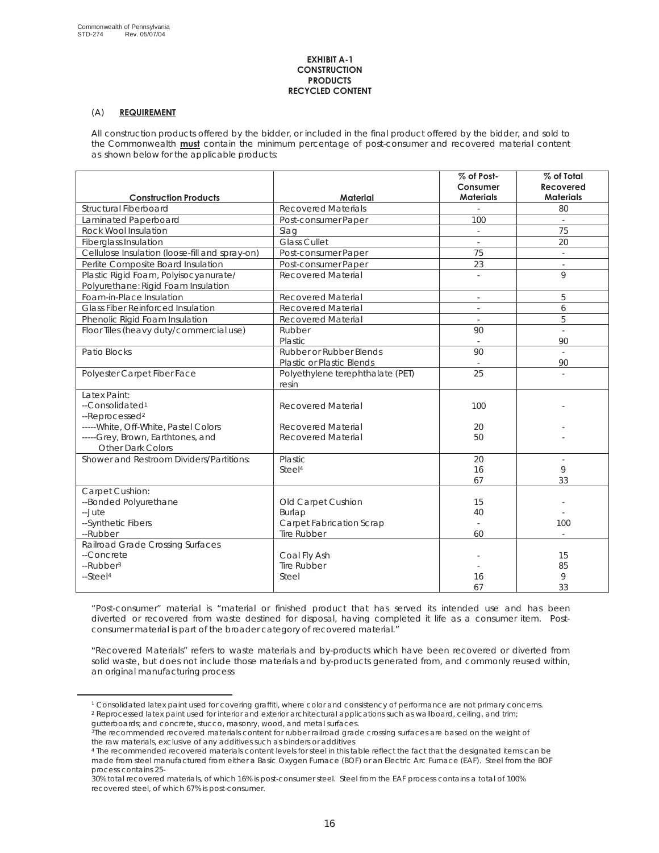#### **EXHIBIT A-1 CONSTRUCTION PRODUCTS RECYCLED CONTENT**

## (A) **REQUIREMENT**

All construction products offered by the bidder, or included in the final product offered by the bidder, and sold to the Commonwealth **must** contain the minimum percentage of post-consumer and recovered material content as shown below for the applicable products:

|                                                                                                                                                         |                                                                                | % of Post-<br>Consumer                     | % of Total<br><b>Recovered</b> |
|---------------------------------------------------------------------------------------------------------------------------------------------------------|--------------------------------------------------------------------------------|--------------------------------------------|--------------------------------|
| <b>Construction Products</b>                                                                                                                            | <b>Material</b>                                                                | <b>Materials</b>                           | <b>Materials</b>               |
| Structural Fiberboard                                                                                                                                   | <b>Recovered Materials</b>                                                     |                                            | 80                             |
| Laminated Paperboard                                                                                                                                    | Post-consumer Paper                                                            | 100                                        |                                |
| Rock Wool Insulation                                                                                                                                    | Slag                                                                           |                                            | 75                             |
| <b>Fiberglass Insulation</b>                                                                                                                            | <b>Glass Cullet</b>                                                            | $\overline{\phantom{a}}$                   | 20                             |
| Cellulose Insulation (loose-fill and spray-on)                                                                                                          | Post-consumer Paper                                                            | 75                                         | $\omega$                       |
| Perlite Composite Board Insulation                                                                                                                      | Post-consumer Paper                                                            | 23                                         | $\mathbf{r}$                   |
| Plastic Rigid Foam, Polyisocyanurate/<br>Polyurethane: Rigid Foam Insulation                                                                            | Recovered Material                                                             |                                            | $\mathsf{Q}$                   |
| Foam-in-Place Insulation                                                                                                                                | <b>Recovered Material</b>                                                      | $\omega$                                   | 5                              |
| Glass Fiber Reinforced Insulation                                                                                                                       | <b>Recovered Material</b>                                                      | $\bar{z}$                                  | 6                              |
| Phenolic Rigid Foam Insulation                                                                                                                          | <b>Recovered Material</b>                                                      | $\bar{z}$                                  | 5                              |
| Floor Tiles (heavy duty/commercial use)                                                                                                                 | Rubber                                                                         | 90                                         | $\bar{a}$                      |
|                                                                                                                                                         | Plastic                                                                        | $\overline{\phantom{a}}$                   | 90                             |
| Patio Blocks                                                                                                                                            | Rubber or Rubber Blends                                                        | 90                                         | $\sim$                         |
|                                                                                                                                                         | Plastic or Plastic Blends                                                      |                                            | 90                             |
| Polyester Carpet Fiber Face                                                                                                                             | Polyethylene terephthalate (PET)<br>resin                                      | 25                                         |                                |
| Latex Paint:<br>--Consolidated <sup>1</sup><br>--Reprocessed <sup>2</sup><br>----- White, Off-White, Pastel Colors<br>-----Grey, Brown, Earthtones, and | <b>Recovered Material</b><br>Recovered Material<br><b>Recovered Material</b>   | 100<br>20<br>50                            |                                |
| <b>Other Dark Colors</b><br>Shower and Restroom Dividers/Partitions:                                                                                    | <b>Plastic</b><br>Steel <sup>4</sup>                                           | 20<br>16<br>67                             | ÷<br>9<br>33                   |
| Carpet Cushion:<br>--Bonded Polyurethane<br>--Jute<br>--Synthetic Fibers<br>--Rubber                                                                    | Old Carpet Cushion<br>Burlap<br>Carpet Fabrication Scrap<br><b>Tire Rubber</b> | 15<br>40<br>$\overline{\phantom{a}}$<br>60 | 100                            |
| Railroad Grade Crossing Surfaces<br>--Concrete<br>--Rubber <sup>3</sup><br>--Steel <sup>4</sup>                                                         | Coal Fly Ash<br><b>Tire Rubber</b><br>Steel                                    | 16<br>67                                   | 15<br>85<br>9<br>33            |

"Post-consumer" material is "material or finished product that has served its intended use and has been diverted or recovered from waste destined for disposal, having completed it life as a consumer item. Postconsumer material is part of the broader category of recovered material."

**"**Recovered Materials" refers to waste materials and by-products which have been recovered or diverted from solid waste, but does not include those materials and by-products generated from, and commonly reused within, an original manufacturing process

<sup>1</sup> Consolidated latex paint used for covering graffiti, where color and consistency of performance are not primary concerns. <sup>2</sup> Reprocessed latex paint used for interior and exterior architectural applications such as wallboard, ceiling, and trim; gutterboards; and concrete, stucco, masonry, wood, and metal surfaces.

<sup>&</sup>lt;sup>3</sup>The recommended recovered materials content for rubber railroad grade crossing surfaces are based on the weight of the raw materials, exclusive of any additives such as binders or additives

<sup>4</sup> The recommended recovered materials content levels for steel in this table reflect the fact that the designated items can be made from steel manufactured from either a Basic Oxygen Furnace (BOF) or an Electric Arc Furnace (EAF). Steel from the BOF process contains 25-

<sup>30%</sup> total recovered materials, of which 16% is post-consumer steel. Steel from the EAF process contains a total of 100% recovered steel, of which 67% is post-consumer.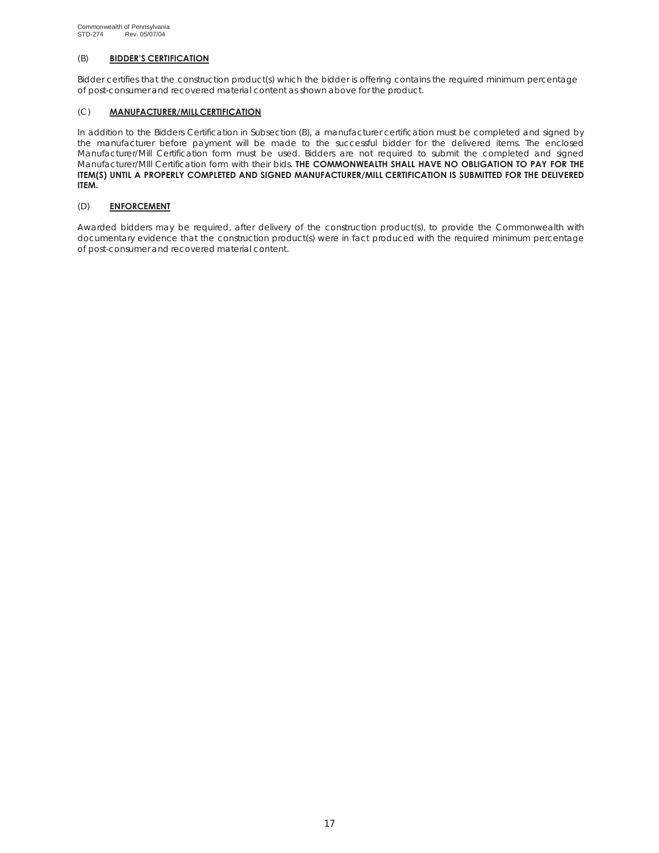### (B) **BIDDER'S CERTIFICATION**

Bidder certifies that the construction product(s) which the bidder is offering contains the required minimum percentage of post-consumer and recovered material content as shown above for the product.

### (C) **MANUFACTURER/MILL CERTIFICATION**

In addition to the Bidders Certification in Subsection (B), a manufacturer certification must be completed and signed by the manufacturer before payment will be made to the successful bidder for the delivered items. The enclosed Manufacturer/Mill Certification form must be used. Bidders are not required to submit the completed and signed Manufacturer/MIll Certification form with their bids. **THE COMMONWEALTH SHALL HAVE NO OBLIGATION TO PAY FOR THE ITEM(S) UNTIL A PROPERLY COMPLETED AND SIGNED MANUFACTURER/MILL CERTIFICATION IS SUBMITTED FOR THE DELIVERED ITEM.**

### (D) **ENFORCEMENT**

Awarded bidders may be required, after delivery of the construction product(s), to provide the Commonwealth with documentary evidence that the construction product(s) were in fact produced with the required minimum percentage of post-consumer and recovered material content.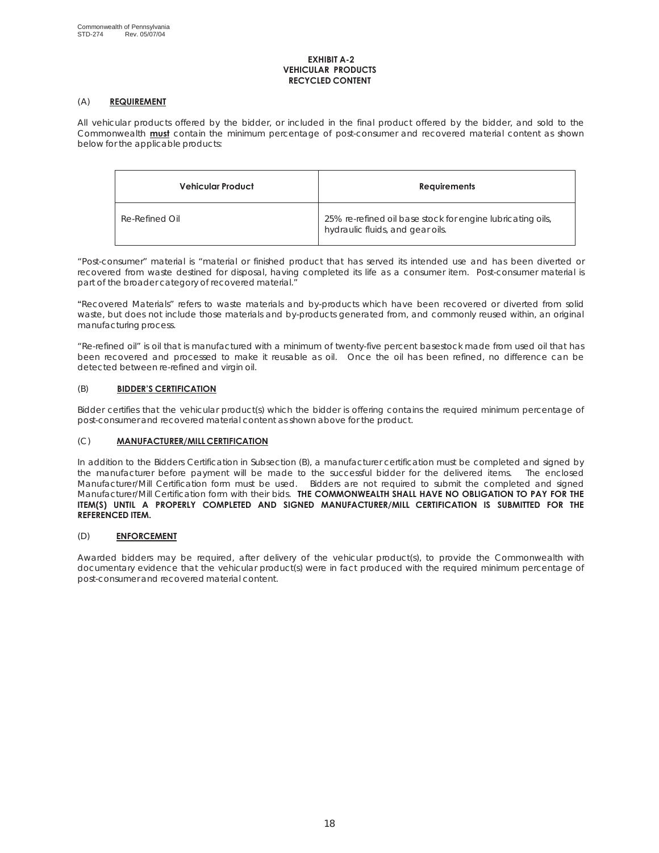### **EXHIBIT A-2 VEHICULAR PRODUCTS RECYCLED CONTENT**

### (A) **REQUIREMENT**

All vehicular products offered by the bidder, or included in the final product offered by the bidder, and sold to the Commonwealth **must** contain the minimum percentage of post-consumer and recovered material content as shown below for the applicable products:

| Vehicular Product | <b>Requirements</b>                                                                            |
|-------------------|------------------------------------------------------------------------------------------------|
| Re-Refined Oil    | 25% re-refined oil base stock for engine lubricating oils,<br>hydraulic fluids, and gear oils. |

"Post-consumer" material is "material or finished product that has served its intended use and has been diverted or recovered from waste destined for disposal, having completed its life as a consumer item. Post-consumer material is part of the broader category of recovered material."

**"**Recovered Materials" refers to waste materials and by-products which have been recovered or diverted from solid waste, but does not include those materials and by-products generated from, and commonly reused within, an original manufacturing process.

"Re-refined oil" is oil that is manufactured with a minimum of twenty-five percent basestock made from used oil that has been recovered and processed to make it reusable as oil. Once the oil has been refined, no difference can be detected between re-refined and virgin oil.

## (B) **BIDDER'S CERTIFICATION**

Bidder certifies that the vehicular product(s) which the bidder is offering contains the required minimum percentage of post-consumer and recovered material content as shown above for the product.

## (C) **MANUFACTURER/MILL CERTIFICATION**

In addition to the Bidders Certification in Subsection (B), a manufacturer certification must be completed and signed by the manufacturer before payment will be made to the successful bidder for the delivered items. The enclosed Manufacturer/Mill Certification form must be used. Bidders are not required to submit the completed and signed Manufacturer/Mill Certification form with their bids. **THE COMMONWEALTH SHALL HAVE NO OBLIGATION TO PAY FOR THE ITEM(S) UNTIL A PROPERLY COMPLETED AND SIGNED MANUFACTURER/MILL CERTIFICATION IS SUBMITTED FOR THE REFERENCED ITEM.**

### (D) **ENFORCEMENT**

Awarded bidders may be required, after delivery of the vehicular product(s), to provide the Commonwealth with documentary evidence that the vehicular product(s) were in fact produced with the required minimum percentage of post-consumer and recovered material content.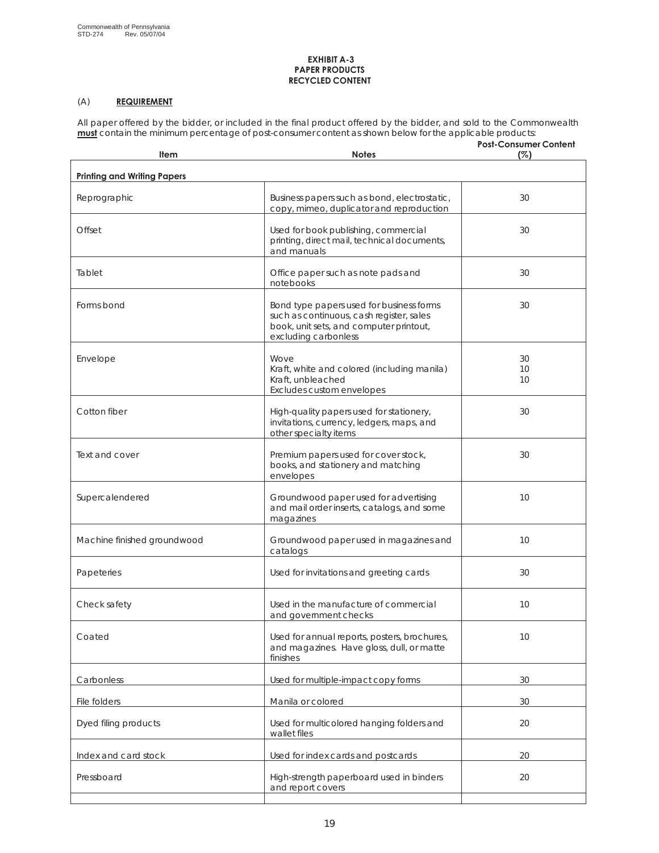### **EXHIBIT A-3 PAPER PRODUCTS RECYCLED CONTENT**

# (A) **REQUIREMENT**

All paper offered by the bidder, or included in the final product offered by the bidder, and sold to the Commonwealth **must** contain the minimum percentage of post-consumer content as shown below for the applicable products:

| Item                               | <b>Notes</b>                                                                                                                                            | <b>Post-Consumer Content</b><br>(%) |
|------------------------------------|---------------------------------------------------------------------------------------------------------------------------------------------------------|-------------------------------------|
|                                    |                                                                                                                                                         |                                     |
| <b>Printing and Writing Papers</b> |                                                                                                                                                         |                                     |
| Reprographic                       | Business papers such as bond, electrostatic,<br>copy, mimeo, duplicator and reproduction                                                                | 30                                  |
| Offset                             | Used for book publishing, commercial<br>printing, direct mail, technical documents,<br>and manuals                                                      | 30                                  |
| Tablet                             | Office paper such as note pads and<br>notebooks                                                                                                         | 30                                  |
| Forms bond                         | Bond type papers used for business forms<br>such as continuous, cash register, sales<br>book, unit sets, and computer printout,<br>excluding carbonless | 30                                  |
| Envelope                           | Wove                                                                                                                                                    | 30                                  |
|                                    | Kraft, white and colored (including manila)                                                                                                             | 10                                  |
|                                    | Kraft, unbleached<br>Excludes custom envelopes                                                                                                          | 10                                  |
| Cotton fiber                       | High-quality papers used for stationery,<br>invitations, currency, ledgers, maps, and<br>other specialty items                                          | 30                                  |
| Text and cover                     | Premium papers used for cover stock,<br>books, and stationery and matching<br>envelopes                                                                 | 30                                  |
| Supercalendered                    | Groundwood paper used for advertising<br>and mail order inserts, catalogs, and some<br>magazines                                                        | 10                                  |
| Machine finished groundwood        | Groundwood paper used in magazines and<br>catalogs                                                                                                      | 10                                  |
| Papeteries                         | Used for invitations and greeting cards                                                                                                                 | 30                                  |
| Check safety                       | Used in the manufacture of commercial<br>and government checks                                                                                          | 10                                  |
| Coated                             | Used for annual reports, posters, brochures,<br>and magazines. Have gloss, dull, or matte<br>finishes                                                   | 10                                  |
| Carbonless                         | Used for multiple-impact copy forms                                                                                                                     | 30                                  |
| File folders                       | Manila or colored                                                                                                                                       | 30                                  |
| Dyed filing products               | Used for multicolored hanging folders and<br>wallet files                                                                                               | 20                                  |
| Index and card stock               | Used for index cards and postcards                                                                                                                      | 20                                  |
| Pressboard                         | High-strength paperboard used in binders<br>and report covers                                                                                           | 20                                  |
|                                    |                                                                                                                                                         |                                     |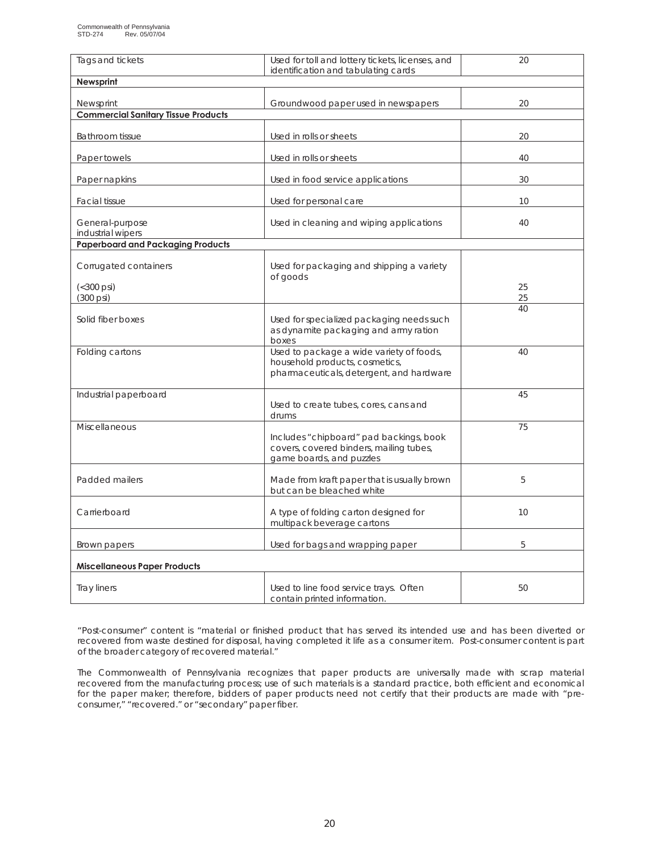| Tags and tickets                                        | Used for toll and lottery tickets, licenses, and<br>identification and tabulating cards                                | 20       |
|---------------------------------------------------------|------------------------------------------------------------------------------------------------------------------------|----------|
| Newsprint                                               |                                                                                                                        |          |
|                                                         |                                                                                                                        |          |
| Newsprint<br><b>Commercial Sanitary Tissue Products</b> | Groundwood paper used in newspapers                                                                                    | 20       |
|                                                         |                                                                                                                        |          |
| <b>Bathroom tissue</b>                                  | Used in rolls or sheets                                                                                                | 20       |
| Paper towels                                            | Used in rolls or sheets                                                                                                | 40       |
| Paper napkins                                           | Used in food service applications                                                                                      | 30       |
| <b>Facial tissue</b>                                    | Used for personal care                                                                                                 | 10       |
| General-purpose<br>industrial wipers                    | Used in cleaning and wiping applications                                                                               | 40       |
| <b>Paperboard and Packaging Products</b>                |                                                                                                                        |          |
| Corrugated containers                                   | Used for packaging and shipping a variety<br>of goods                                                                  |          |
| $(< 300 \text{ psi})$<br>(300 psi)                      |                                                                                                                        | 25<br>25 |
| Solid fiber boxes                                       | Used for specialized packaging needs such<br>as dynamite packaging and army ration<br>boxes                            | 40       |
| Folding cartons                                         | Used to package a wide variety of foods,<br>household products, cosmetics,<br>pharmaceuticals, detergent, and hardware | 40       |
| Industrial paperboard                                   | Used to create tubes, cores, cans and<br>drums                                                                         | 45       |
| <b>Miscellaneous</b>                                    | Includes "chipboard" pad backings, book<br>covers, covered binders, mailing tubes,<br>game boards, and puzzles         | 75       |
| Padded mailers                                          | Made from kraft paper that is usually brown<br>but can be bleached white                                               | 5        |
| Carrierboard                                            | A type of folding carton designed for<br>multipack beverage cartons                                                    | 10       |
| Brown papers                                            | Used for bags and wrapping paper                                                                                       | 5        |
| <b>Miscellaneous Paper Products</b>                     |                                                                                                                        |          |
| <b>Tray liners</b>                                      | Used to line food service trays. Often<br>contain printed information.                                                 | 50       |

"Post-consumer" content is "material or finished product that has served its intended use and has been diverted or recovered from waste destined for disposal, having completed it life as a consumer item. Post-consumer content is part of the broader category of recovered material."

The Commonwealth of Pennsylvania recognizes that paper products are universally made with scrap material recovered from the manufacturing process; use of such materials is a standard practice, both efficient and economical for the paper maker; therefore, bidders of paper products need not certify that their products are made with "preconsumer," "recovered." or "secondary" paper fiber.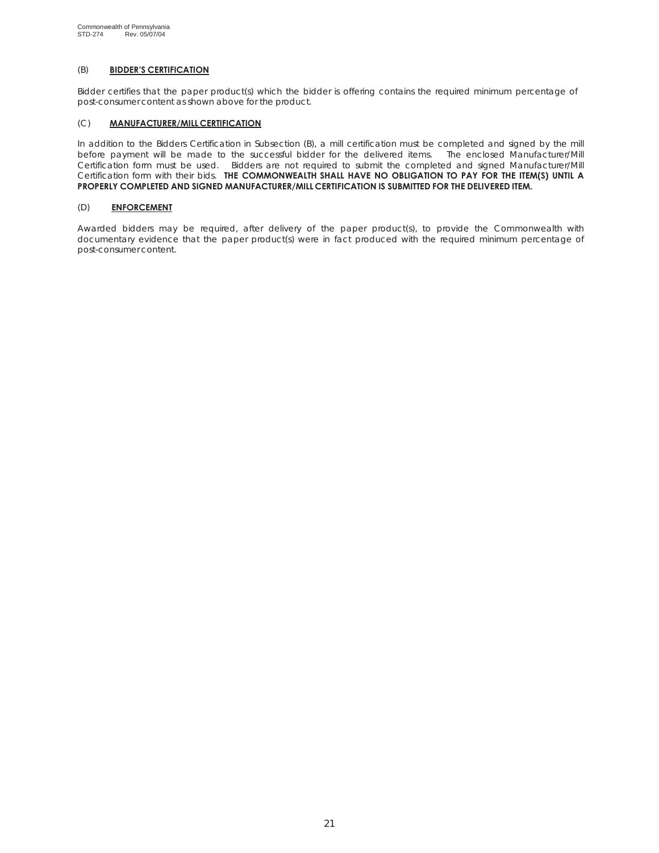## (B) **BIDDER'S CERTIFICATION**

Bidder certifies that the paper product(s) which the bidder is offering contains the required minimum percentage of post-consumer content as shown above for the product.

### (C) **MANUFACTURER/MILL CERTIFICATION**

In addition to the Bidders Certification in Subsection (B), a mill certification must be completed and signed by the mill before payment will be made to the successful bidder for the delivered items. The enclosed Manufacturer/Mill Certification form must be used. Bidders are not required to submit the completed and signed Manufacturer/Mill Certification form with their bids. **THE COMMONWEALTH SHALL HAVE NO OBLIGATION TO PAY FOR THE ITEM(S) UNTIL A PROPERLY COMPLETED AND SIGNED MANUFACTURER/MILL CERTIFICATION IS SUBMITTED FOR THE DELIVERED ITEM.**

### (D) **ENFORCEMENT**

Awarded bidders may be required, after delivery of the paper product(s), to provide the Commonwealth with documentary evidence that the paper product(s) were in fact produced with the required minimum percentage of post-consumer content.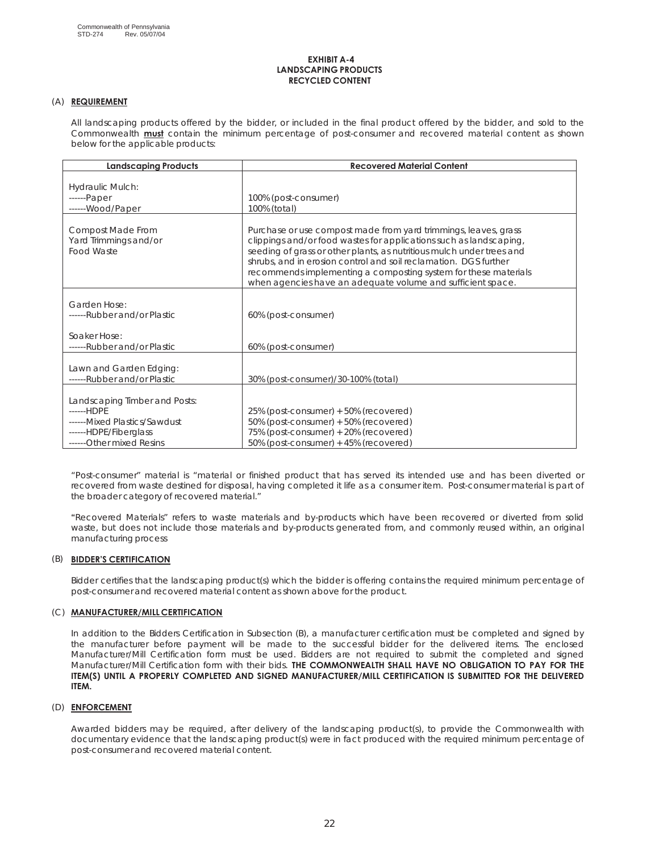### **EXHIBIT A-4 LANDSCAPING PRODUCTS RECYCLED CONTENT**

### (A) **REQUIREMENT**

All landscaping products offered by the bidder, or included in the final product offered by the bidder, and sold to the Commonwealth **must** contain the minimum percentage of post-consumer and recovered material content as shown below for the applicable products:

| <b>Landscaping Products</b>                                                                                                      | <b>Recovered Material Content</b>                                                                                                                                                                                                                                                                                                                                                                                    |
|----------------------------------------------------------------------------------------------------------------------------------|----------------------------------------------------------------------------------------------------------------------------------------------------------------------------------------------------------------------------------------------------------------------------------------------------------------------------------------------------------------------------------------------------------------------|
| Hydraulic Mulch:<br>------Paper<br>------Wood/Paper                                                                              | 100% (post-consumer)<br>100% (total)                                                                                                                                                                                                                                                                                                                                                                                 |
| Compost Made From<br>Yard Trimmings and/or<br>Food Waste                                                                         | Purchase or use compost made from yard trimmings, leaves, grass<br>clippings and/or food wastes for applications such as landscaping,<br>seeding of grass or other plants, as nutritious mulch under trees and<br>shrubs, and in erosion control and soil reclamation. DGS further<br>recommends implementing a composting system for these materials<br>when agencies have an adequate volume and sufficient space. |
| Garden Hose:<br>------Rubber and/or Plastic<br>Soaker Hose:                                                                      | 60% (post-consumer)                                                                                                                                                                                                                                                                                                                                                                                                  |
| ------Rubber and/or Plastic                                                                                                      | 60% (post-consumer)                                                                                                                                                                                                                                                                                                                                                                                                  |
| Lawn and Garden Edging:<br>------Rubber and/or Plastic                                                                           | 30% (post-consumer)/30-100% (total)                                                                                                                                                                                                                                                                                                                                                                                  |
| Landscaping Timber and Posts:<br>------HDPE<br>------Mixed Plastics/Sawdust<br>------HDPE/Fiberglass<br>------Other mixed Resins | 25% (post-consumer) + 50% (recovered)<br>50% (post-consumer) + 50% (recovered)<br>75% (post-consumer) + 20% (recovered)<br>50% (post-consumer) + 45% (recovered)                                                                                                                                                                                                                                                     |

"Post-consumer" material is "material or finished product that has served its intended use and has been diverted or recovered from waste destined for disposal, having completed it life as a consumer item. Post-consumer material is part of the broader category of recovered material."

**"**Recovered Materials" refers to waste materials and by-products which have been recovered or diverted from solid waste, but does not include those materials and by-products generated from, and commonly reused within, an original manufacturing process

### (B) **BIDDER'S CERTIFICATION**

Bidder certifies that the landscaping product(s) which the bidder is offering contains the required minimum percentage of post-consumer and recovered material content as shown above for the product.

### (C) **MANUFACTURER/MILL CERTIFICATION**

In addition to the Bidders Certification in Subsection (B), a manufacturer certification must be completed and signed by the manufacturer before payment will be made to the successful bidder for the delivered items. The enclosed Manufacturer/Mill Certification form must be used. Bidders are not required to submit the completed and signed Manufacturer/Mill Certification form with their bids. **THE COMMONWEALTH SHALL HAVE NO OBLIGATION TO PAY FOR THE ITEM(S) UNTIL A PROPERLY COMPLETED AND SIGNED MANUFACTURER/MILL CERTIFICATION IS SUBMITTED FOR THE DELIVERED ITEM.**

### (D) **ENFORCEMENT**

Awarded bidders may be required, after delivery of the landscaping product(s), to provide the Commonwealth with documentary evidence that the landscaping product(s) were in fact produced with the required minimum percentage of post-consumer and recovered material content.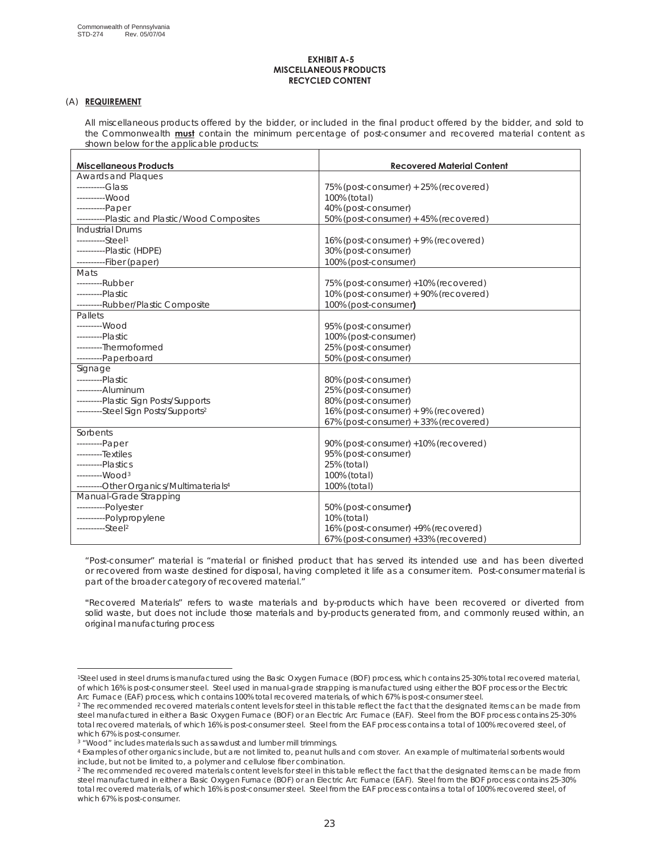### **EXHIBIT A-5 MISCELLANEOUS PRODUCTS RECYCLED CONTENT**

### (A) **REQUIREMENT**

All miscellaneous products offered by the bidder, or included in the final product offered by the bidder, and sold to the Commonwealth **must** contain the minimum percentage of post-consumer and recovered material content as shown below for the applicable products:

| <b>Miscellaneous Products</b>                       | <b>Recovered Material Content</b>     |
|-----------------------------------------------------|---------------------------------------|
| Awards and Plaques                                  |                                       |
| $---Glass$                                          | 75% (post-consumer) + 25% (recovered) |
| ---------Wood                                       | 100% (total)                          |
| ----------Paper                                     | 40% (post-consumer)                   |
| ----------Plastic and Plastic/Wood Composites       | 50% (post-consumer) + 45% (recovered) |
| <b>Industrial Drums</b>                             |                                       |
| ----------Steel <sup>1</sup>                        | 16% (post-consumer) + 9% (recovered)  |
| ----------Plastic (HDPE)                            | 30% (post-consumer)                   |
| ----------Fiber (paper)                             | 100% (post-consumer)                  |
| Mats                                                |                                       |
| ---------Rubber                                     | 75% (post-consumer) +10% (recovered)  |
| ---------Plastic                                    | 10% (post-consumer) + 90% (recovered) |
| ---------Rubber/Plastic Composite                   | 100% (post-consumer)                  |
| Pallets                                             |                                       |
| --------Wood                                        | 95% (post-consumer)                   |
| ---------Plastic                                    | 100% (post-consumer)                  |
| ---------Thermoformed                               | 25% (post-consumer)                   |
| ---------Paperboard                                 | 50% (post-consumer)                   |
| Signage                                             |                                       |
| ---------Plastic                                    | 80% (post-consumer)                   |
| ---------Aluminum                                   | 25% (post-consumer)                   |
| ---------Plastic Sign Posts/Supports                | 80% (post-consumer)                   |
| ---------Steel Sign Posts/Supports <sup>2</sup>     | 16% (post-consumer) + 9% (recovered)  |
|                                                     | 67% (post-consumer) + 33% (recovered) |
| Sorbents                                            |                                       |
| ---------Paper                                      | 90% (post-consumer) +10% (recovered)  |
| ---------Textiles                                   | 95% (post-consumer)                   |
| ---------Plastics                                   | 25% (total)                           |
| --------Wood <sup>3</sup>                           | 100% (total)                          |
| ---------Other Organics/Multimaterials <sup>4</sup> | 100% (total)                          |
| Manual-Grade Strapping                              |                                       |
| ----------Polyester                                 | 50% (post-consumer)                   |
| ----------Polypropylene                             | 10% (total)                           |
| ----------Steel <sup>2</sup>                        | 16% (post-consumer) +9% (recovered)   |
|                                                     | 67% (post-consumer) +33% (recovered)  |

"Post-consumer" material is "material or finished product that has served its intended use and has been diverted or recovered from waste destined for disposal, having completed it life as a consumer item. Post-consumer material is part of the broader category of recovered material."

**"**Recovered Materials" refers to waste materials and by-products which have been recovered or diverted from solid waste, but does not include those materials and by-products generated from, and commonly reused within, an original manufacturing process

<sup>1</sup>Steel used in steel drums is manufactured using the Basic Oxygen Furnace (BOF) process, which contains 25-30% total recovered material, of which 16% is post-consumer steel. Steel used in manual-grade strapping is manufactured using either the BOF process or the Electric Arc Furnace (EAF) process, which contains 100% total recovered materials, of which 67% is post-consumer steel.

<sup>&</sup>lt;sup>2</sup> The recommended recovered materials content levels for steel in this table reflect the fact that the designated items can be made from steel manufactured in either a Basic Oxygen Furnace (BOF) or an Electric Arc Furnace (EAF). Steel from the BOF process contains 25-30% total recovered materials, of which 16% is post-consumer steel. Steel from the EAF process contains a total of 100% recovered steel, of which 67% is post-consumer.

<sup>3 &</sup>quot;Wood" includes materials such as sawdust and lumber mill trimmings.

<sup>4</sup> Examples of other organics include, but are not limited to, peanut hulls and corn stover. An example of multimaterial sorbents would include, but not be limited to, a polymer and cellulose fiber combination.

<sup>&</sup>lt;sup>2</sup> The recommended recovered materials content levels for steel in this table reflect the fact that the designated items can be made from steel manufactured in either a Basic Oxygen Furnace (BOF) or an Electric Arc Furnace (EAF). Steel from the BOF process contains 25-30% total recovered materials, of which 16% is post-consumer steel. Steel from the EAF process contains a total of 100% recovered steel, of which 67% is post-consumer.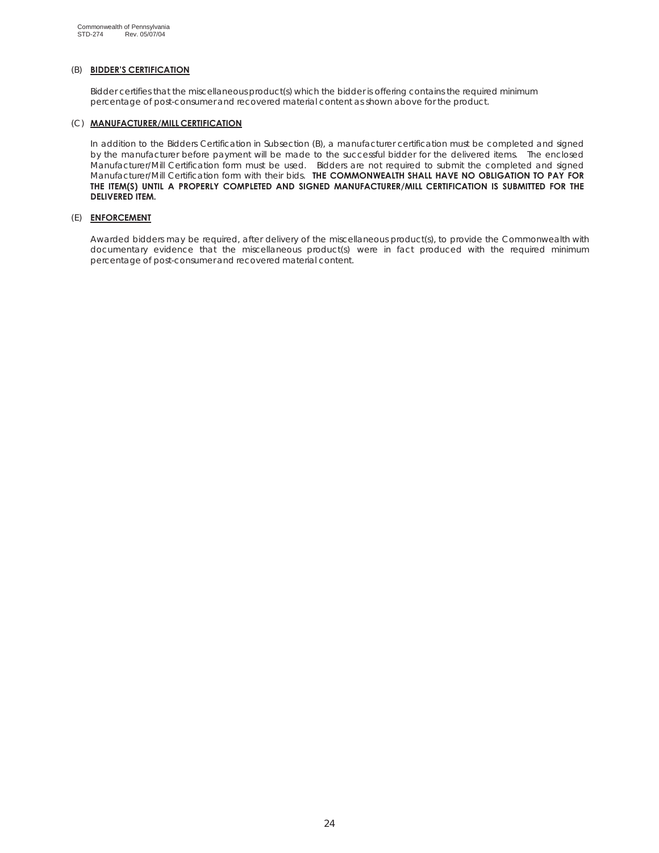### (B) **BIDDER'S CERTIFICATION**

Bidder certifies that the miscellaneous product(s) which the bidder is offering contains the required minimum percentage of post-consumer and recovered material content as shown above for the product.

### (C) **MANUFACTURER/MILL CERTIFICATION**

In addition to the Bidders Certification in Subsection (B), a manufacturer certification must be completed and signed by the manufacturer before payment will be made to the successful bidder for the delivered items. The enclosed Manufacturer/Mill Certification form must be used. Bidders are not required to submit the completed and signed Manufacturer/Mill Certification form with their bids. **THE COMMONWEALTH SHALL HAVE NO OBLIGATION TO PAY FOR THE ITEM(S) UNTIL A PROPERLY COMPLETED AND SIGNED MANUFACTURER/MILL CERTIFICATION IS SUBMITTED FOR THE DELIVERED ITEM.**

### (E) **ENFORCEMENT**

Awarded bidders may be required, after delivery of the miscellaneous product(s), to provide the Commonwealth with documentary evidence that the miscellaneous product(s) were in fact produced with the required minimum percentage of post-consumer and recovered material content.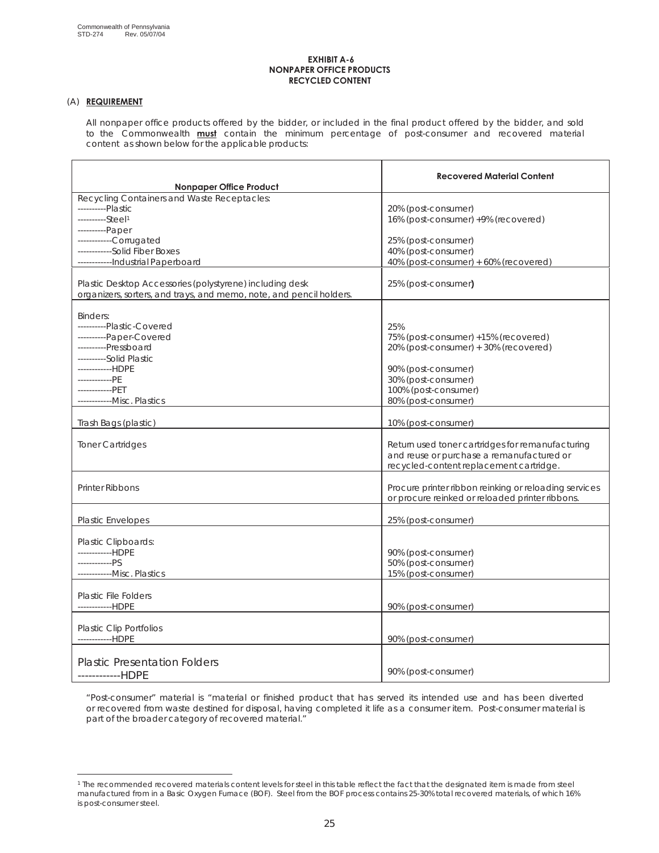#### **EXHIBIT A-6 NONPAPER OFFICE PRODUCTS RECYCLED CONTENT**

### (A) **REQUIREMENT**

All nonpaper office products offered by the bidder, or included in the final product offered by the bidder, and sold to the Commonwealth **must** contain the minimum percentage of post-consumer and recovered material content as shown below for the applicable products:

| Nonpaper Office Product                                                                                                                                                                                      | <b>Recovered Material Content</b>                                                                                                                                                 |
|--------------------------------------------------------------------------------------------------------------------------------------------------------------------------------------------------------------|-----------------------------------------------------------------------------------------------------------------------------------------------------------------------------------|
| Recycling Containers and Waste Receptacles:<br>----------Plastic<br>----------Steel1                                                                                                                         | 20% (post-consumer)<br>16% (post-consumer) +9% (recovered)                                                                                                                        |
| ----------Paper<br>-----------Corrugated<br>------------Solid Fiber Boxes<br>------------Industrial Paperboard                                                                                               | 25% (post-consumer)<br>40% (post-consumer)<br>40% (post-consumer) + 60% (recovered)                                                                                               |
| Plastic Desktop Accessories (polystyrene) including desk<br>organizers, sorters, and trays, and memo, note, and pencil holders.                                                                              | 25% (post-consumer)                                                                                                                                                               |
| Binders:<br>----------Plastic-Covered<br>----------Paper-Covered<br>----------Pressboard<br>----------Solid Plastic<br>------------HDPE<br>------------PE<br>-------------PET<br>-------------Misc. Plastics | 25%<br>75% (post-consumer) +15% (recovered)<br>20% (post-consumer) + 30% (recovered)<br>90% (post-consumer)<br>30% (post-consumer)<br>100% (post-consumer)<br>80% (post-consumer) |
| Trash Bags (plastic)                                                                                                                                                                                         | 10% (post-consumer)                                                                                                                                                               |
| <b>Toner Cartridges</b>                                                                                                                                                                                      | Return used toner cartridges for remanufacturing<br>and reuse or purchase a remanufactured or<br>recycled-content replacement cartridge.                                          |
| <b>Printer Ribbons</b>                                                                                                                                                                                       | Procure printer ribbon reinking or reloading services<br>or procure reinked or reloaded printer ribbons.                                                                          |
| <b>Plastic Envelopes</b>                                                                                                                                                                                     | 25% (post-consumer)                                                                                                                                                               |
| Plastic Clipboards:<br>------------HDPF<br>------------PS<br>------------Misc. Plastics                                                                                                                      | 90% (post-consumer)<br>50% (post-consumer)<br>15% (post-consumer)                                                                                                                 |
| <b>Plastic File Folders</b><br>------------HDPE                                                                                                                                                              | 90% (post-consumer)                                                                                                                                                               |
| <b>Plastic Clip Portfolios</b><br>------------HDPE                                                                                                                                                           | 90% (post-consumer)                                                                                                                                                               |
| <b>Plastic Presentation Folders</b><br>------------HDPE                                                                                                                                                      | 90% (post-consumer)                                                                                                                                                               |

"Post-consumer" material is "material or finished product that has served its intended use and has been diverted or recovered from waste destined for disposal, having completed it life as a consumer item. Post-consumer material is part of the broader category of recovered material."

<sup>1</sup> The recommended recovered materials content levels for steel in this table reflect the fact that the designated item is made from steel manufactured from in a Basic Oxygen Furnace (BOF). Steel from the BOF process contains 25-30% total recovered materials, of which 16% is post-consumer steel.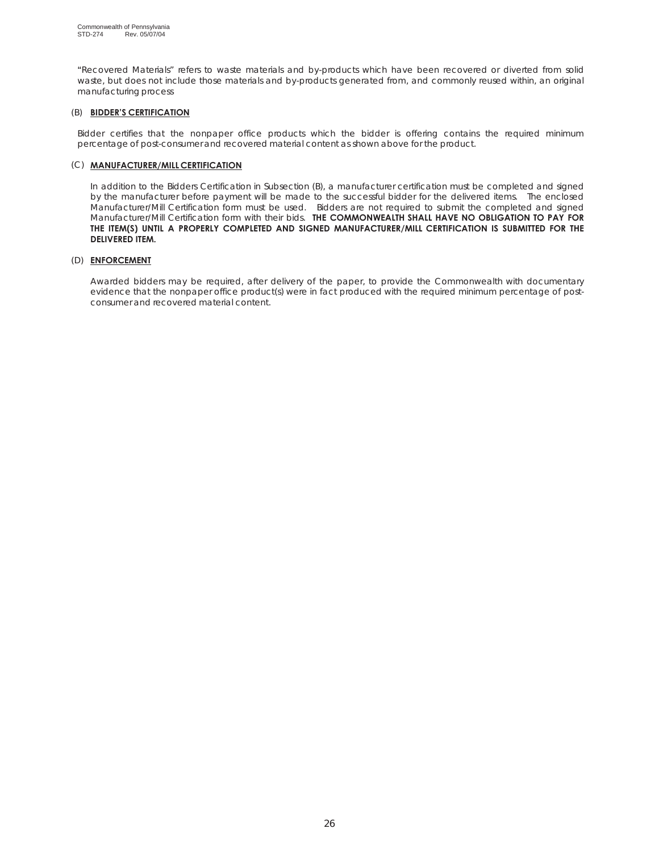**"**Recovered Materials" refers to waste materials and by-products which have been recovered or diverted from solid waste, but does not include those materials and by-products generated from, and commonly reused within, an original manufacturing process

### (B) **BIDDER'S CERTIFICATION**

Bidder certifies that the nonpaper office products which the bidder is offering contains the required minimum percentage of post-consumer and recovered material content as shown above for the product.

### (C) **MANUFACTURER/MILL CERTIFICATION**

In addition to the Bidders Certification in Subsection (B), a manufacturer certification must be completed and signed by the manufacturer before payment will be made to the successful bidder for the delivered items. The enclosed Manufacturer/Mill Certification form must be used. Bidders are not required to submit the completed and signed Manufacturer/Mill Certification form with their bids. **THE COMMONWEALTH SHALL HAVE NO OBLIGATION TO PAY FOR THE ITEM(S) UNTIL A PROPERLY COMPLETED AND SIGNED MANUFACTURER/MILL CERTIFICATION IS SUBMITTED FOR THE DELIVERED ITEM.**

## (D) **ENFORCEMENT**

Awarded bidders may be required, after delivery of the paper, to provide the Commonwealth with documentary evidence that the nonpaper office product(s) were in fact produced with the required minimum percentage of postconsumer and recovered material content.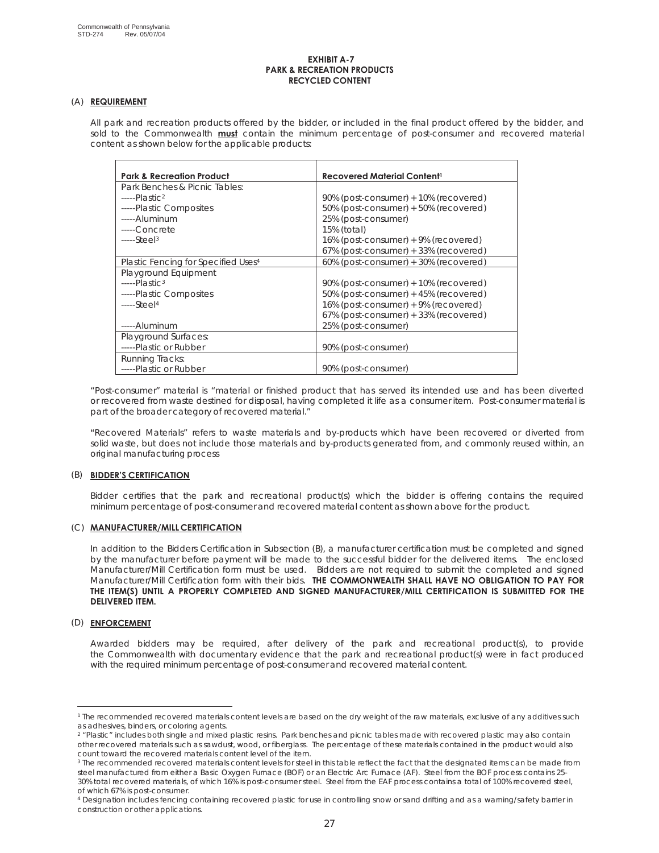#### **EXHIBIT A-7 PARK & RECREATION PRODUCTS RECYCLED CONTENT**

### (A) **REQUIREMENT**

All park and recreation products offered by the bidder, or included in the final product offered by the bidder, and sold to the Commonwealth **must** contain the minimum percentage of post-consumer and recovered material content as shown below for the applicable products:

| <b>Park &amp; Recreation Product</b>            | Recovered Material Content <sup>1</sup> |
|-------------------------------------------------|-----------------------------------------|
| Park Benches & Picnic Tables:                   |                                         |
| $---Plastic2$                                   | 90% (post-consumer) + 10% (recovered)   |
| -----Plastic Composites                         | 50% (post-consumer) + 50% (recovered)   |
| ----- Aluminum                                  | 25% (post-consumer)                     |
| -----Concrete                                   | 15% (total)                             |
| $---Steel3$                                     | 16% (post-consumer) + 9% (recovered)    |
|                                                 | 67% (post-consumer) + 33% (recovered)   |
| Plastic Fencing for Specified Uses <sup>4</sup> | 60% (post-consumer) + 30% (recovered)   |
| Playground Equipment                            |                                         |
| $---Plastic3$                                   | 90% (post-consumer) + 10% (recovered)   |
| -----Plastic Composites                         | 50% (post-consumer) + 45% (recovered)   |
| $---Steel4$                                     | 16% (post-consumer) + 9% (recovered)    |
|                                                 | 67% (post-consumer) + 33% (recovered)   |
| -----Aluminum                                   | 25% (post-consumer)                     |
| Playground Surfaces:                            |                                         |
| -----Plastic or Rubber                          | 90% (post-consumer)                     |
| Running Tracks:                                 |                                         |
| -----Plastic or Rubber                          | 90% (post-consumer)                     |

"Post-consumer" material is "material or finished product that has served its intended use and has been diverted or recovered from waste destined for disposal, having completed it life as a consumer item. Post-consumer material is part of the broader category of recovered material."

**"**Recovered Materials" refers to waste materials and by-products which have been recovered or diverted from solid waste, but does not include those materials and by-products generated from, and commonly reused within, an original manufacturing process

### (B) **BIDDER'S CERTIFICATION**

Bidder certifies that the park and recreational product(s) which the bidder is offering contains the required minimum percentage of post-consumer and recovered material content as shown above for the product.

### (C) **MANUFACTURER/MILL CERTIFICATION**

In addition to the Bidders Certification in Subsection (B), a manufacturer certification must be completed and signed by the manufacturer before payment will be made to the successful bidder for the delivered items. The enclosed Manufacturer/Mill Certification form must be used. Bidders are not required to submit the completed and signed Manufacturer/Mill Certification form with their bids. **THE COMMONWEALTH SHALL HAVE NO OBLIGATION TO PAY FOR THE ITEM(S) UNTIL A PROPERLY COMPLETED AND SIGNED MANUFACTURER/MILL CERTIFICATION IS SUBMITTED FOR THE DELIVERED ITEM.**

### (D) **ENFORCEMENT**

Awarded bidders may be required, after delivery of the park and recreational product(s), to provide the Commonwealth with documentary evidence that the park and recreational product(s) were in fact produced with the required minimum percentage of post-consumer and recovered material content.

<sup>&</sup>lt;sup>1</sup> The recommended recovered materials content levels are based on the dry weight of the raw materials, exclusive of any additives such as adhesives, binders, or coloring agents.

<sup>&</sup>lt;sup>2</sup> "Plastic" includes both single and mixed plastic resins. Park benches and picnic tables made with recovered plastic may also contain other recovered materials such as sawdust, wood, or fiberglass. The percentage of these materials contained in the product would also count toward the recovered materials content level of the item.

<sup>&</sup>lt;sup>3</sup> The recommended recovered materials content levels for steel in this table reflect the fact that the designated items can be made from steel manufactured from either a Basic Oxygen Furnace (BOF) or an Electric Arc Furnace (AF). Steel from the BOF process contains 25- 30% total recovered materials, of which 16% is post-consumer steel. Steel from the EAF process contains a total of 100% recovered steel, of which 67% is post-consumer.

<sup>4</sup> Designation includes fencing containing recovered plastic for use in controlling snow or sand drifting and as a warning/safety barrier in construction or other applications.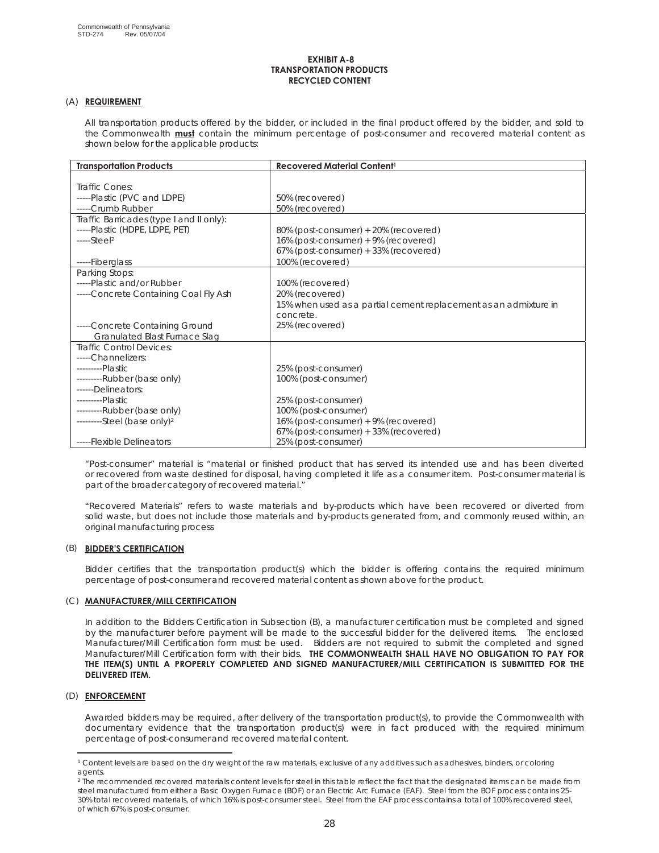#### **EXHIBIT A-8 TRANSPORTATION PRODUCTS RECYCLED CONTENT**

### (A) **REQUIREMENT**

All transportation products offered by the bidder, or included in the final product offered by the bidder, and sold to the Commonwealth **must** contain the minimum percentage of post-consumer and recovered material content as shown below for the applicable products:

| <b>Transportation Products</b>           | <b>Recovered Material Content<sup>1</sup></b>                    |
|------------------------------------------|------------------------------------------------------------------|
|                                          |                                                                  |
| Traffic Cones:                           |                                                                  |
| -----Plastic (PVC and LDPE)              | 50% (recovered)                                                  |
| -----Crumb Rubber                        | 50% (recovered)                                                  |
| Traffic Barricades (type I and II only): |                                                                  |
| -----Plastic (HDPE, LDPE, PET)           | 80% (post-consumer) + 20% (recovered)                            |
| $---Step12$                              | 16% (post-consumer) + 9% (recovered)                             |
|                                          | 67% (post-consumer) + 33% (recovered)                            |
| -----Fiberglass                          | 100% (recovered)                                                 |
| Parking Stops:                           |                                                                  |
| -----Plastic and/or Rubber               | 100% (recovered)                                                 |
| -----Concrete Containing Coal Fly Ash    | 20% (recovered)                                                  |
|                                          | 15% when used as a partial cement replacement as an admixture in |
|                                          | concrete.                                                        |
| -----Concrete Containing Ground          | 25% (recovered)                                                  |
| Granulated Blast Furnace Slag            |                                                                  |
| <b>Traffic Control Devices:</b>          |                                                                  |
| -----Channelizers:                       |                                                                  |
| ---------Plastic                         | 25% (post-consumer)                                              |
| ---------Rubber (base only)              | 100% (post-consumer)                                             |
| ------Delineators:                       |                                                                  |
| ---------Plastic                         | 25% (post-consumer)                                              |
| ---------Rubber (base only)              | 100% (post-consumer)                                             |
| $----Seteel (base only)2$                | 16% (post-consumer) + 9% (recovered)                             |
|                                          | 67% (post-consumer) + 33% (recovered)                            |
| -----Flexible Delineators                | 25% (post-consumer)                                              |

"Post-consumer" material is "material or finished product that has served its intended use and has been diverted or recovered from waste destined for disposal, having completed it life as a consumer item. Post-consumer material is part of the broader category of recovered material."

**"**Recovered Materials" refers to waste materials and by-products which have been recovered or diverted from solid waste, but does not include those materials and by-products generated from, and commonly reused within, an original manufacturing process

### (B) **BIDDER'S CERTIFICATION**

Bidder certifies that the transportation product(s) which the bidder is offering contains the required minimum percentage of post-consumer and recovered material content as shown above for the product.

### (C) **MANUFACTURER/MILL CERTIFICATION**

In addition to the Bidders Certification in Subsection (B), a manufacturer certification must be completed and signed by the manufacturer before payment will be made to the successful bidder for the delivered items. The enclosed Manufacturer/Mill Certification form must be used. Bidders are not required to submit the completed and signed Manufacturer/Mill Certification form with their bids. **THE COMMONWEALTH SHALL HAVE NO OBLIGATION TO PAY FOR THE ITEM(S) UNTIL A PROPERLY COMPLETED AND SIGNED MANUFACTURER/MILL CERTIFICATION IS SUBMITTED FOR THE DELIVERED ITEM.**

### (D) **ENFORCEMENT**

Awarded bidders may be required, after delivery of the transportation product(s), to provide the Commonwealth with documentary evidence that the transportation product(s) were in fact produced with the required minimum percentage of post-consumer and recovered material content.

<sup>1</sup> Content levels are based on the dry weight of the raw materials, exclusive of any additives such as adhesives, binders, or coloring agents.

 $2$  The recommended recovered materials content levels for steel in this table reflect the fact that the designated items can be made from steel manufactured from either a Basic Oxygen Furnace (BOF) or an Electric Arc Furnace (EAF). Steel from the BOF process contains 25- 30% total recovered materials, of which 16% is post-consumer steel. Steel from the EAF process contains a total of 100% recovered steel, of which 67% is post-consumer.